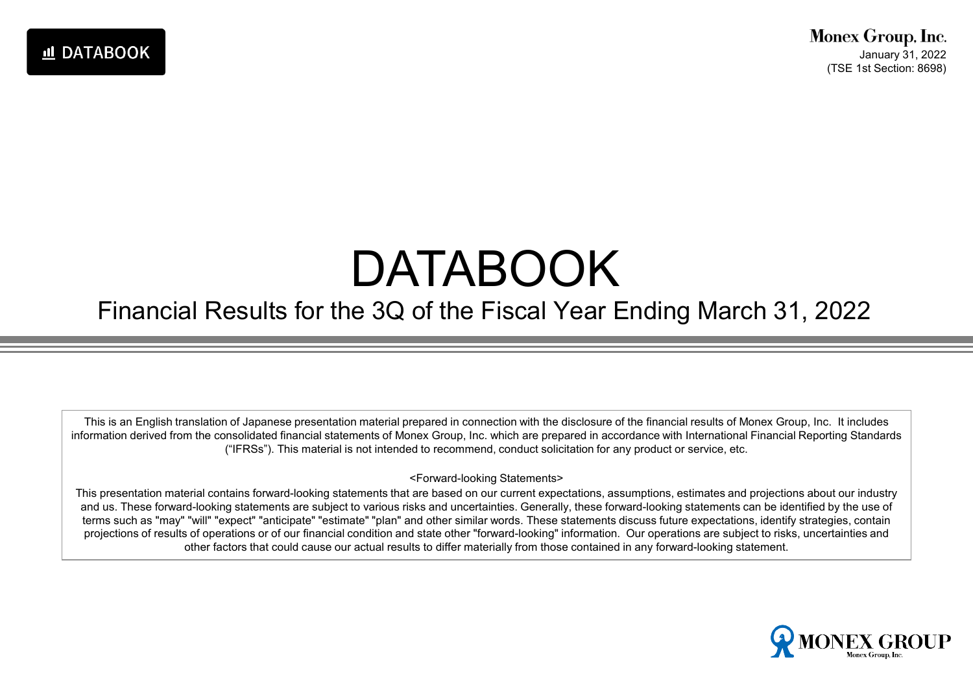# DATABOOK

#### Financial Results for the 3Q of the Fiscal Year Ending March 31, 2022

This is an English translation of Japanese presentation material prepared in connection with the disclosure of the financial results of Monex Group, Inc. It includes information derived from the consolidated financial statements of Monex Group, Inc. which are prepared in accordance with International Financial Reporting Standards ("IFRSs"). This material is not intended to recommend, conduct solicitation for any product or service, etc.

#### <Forward-looking Statements>

This presentation material contains forward-looking statements that are based on our current expectations, assumptions, estimates and projections about our industry and us. These forward-looking statements are subject to various risks and uncertainties. Generally, these forward-looking statements can be identified by the use of terms such as "may" "will" "expect" "anticipate" "estimate" "plan" and other similar words. These statements discuss future expectations, identify strategies, contain projections of results of operations or of our financial condition and state other "forward-looking" information. Our operations are subject to risks, uncertainties and other factors that could cause our actual results to differ materially from those contained in any forward-looking statement.

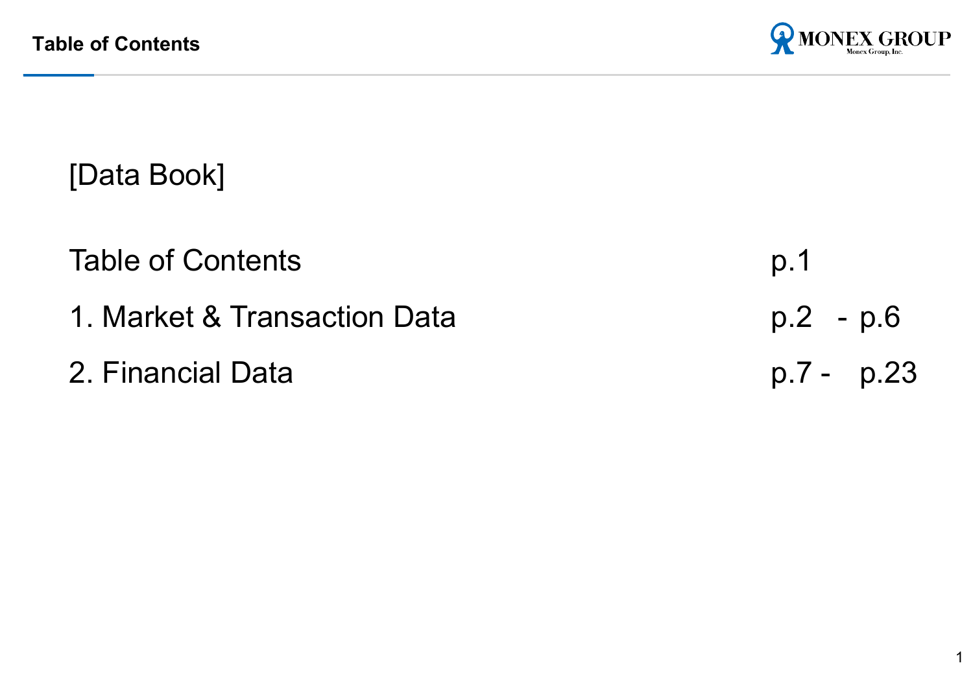

[Data Book]

Table of Contents p.1

- 
- 2. Financial Data

1. Market & Transaction Data b. 2 - p.6<br>2. Financial Data bata b. 7 - p.23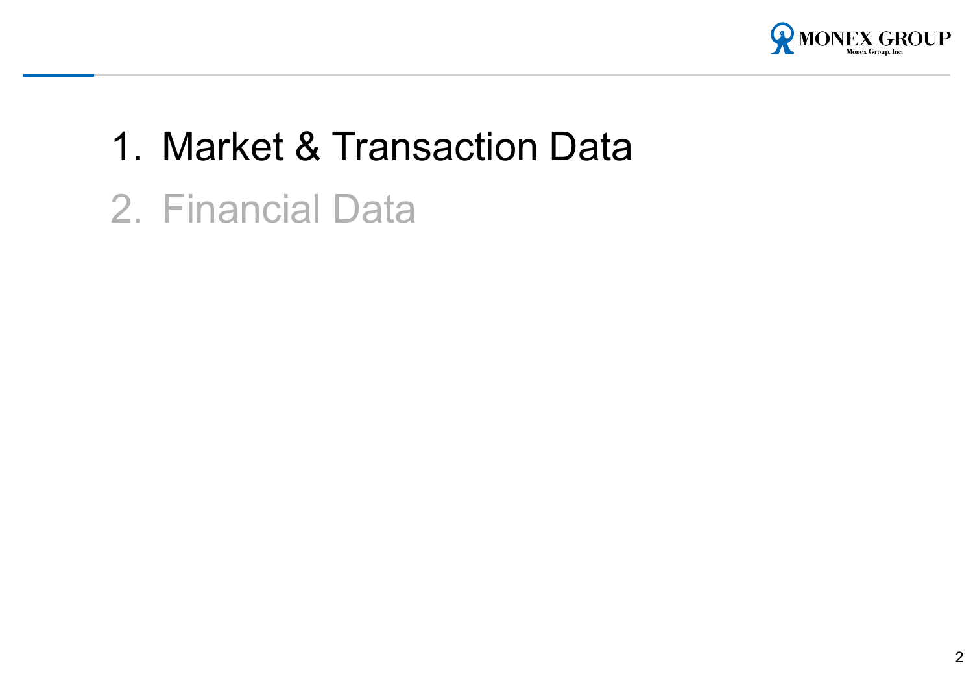

## 1. Market & Transaction Data

2. Financial Data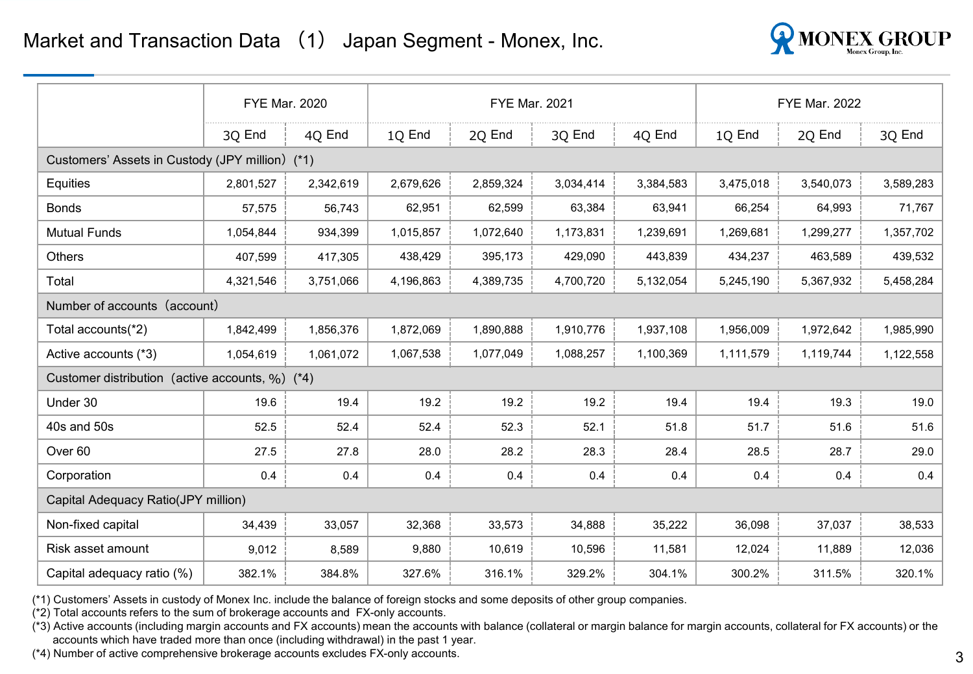

|                                                 |           | <b>FYE Mar. 2020</b> |           | <b>FYE Mar. 2021</b> |           |           |           | <b>FYE Mar. 2022</b> |           |
|-------------------------------------------------|-----------|----------------------|-----------|----------------------|-----------|-----------|-----------|----------------------|-----------|
|                                                 | 3Q End    | 4Q End               | 1Q End    | 20 End               | 3Q End    | 4Q End    | 10 End    | 20 End               | 3Q End    |
| Customers' Assets in Custody (JPY million) (*1) |           |                      |           |                      |           |           |           |                      |           |
| Equities                                        | 2,801,527 | 2,342,619            | 2,679,626 | 2,859,324            | 3,034,414 | 3,384,583 | 3,475,018 | 3,540,073            | 3,589,283 |
| <b>Bonds</b>                                    | 57,575    | 56,743               | 62,951    | 62,599               | 63,384    | 63,941    | 66,254    | 64,993               | 71,767    |
| <b>Mutual Funds</b>                             | 1,054,844 | 934,399              | 1,015,857 | 1,072,640            | 1,173,831 | 1,239,691 | 1,269,681 | 1,299,277            | 1,357,702 |
| Others                                          | 407,599   | 417,305              | 438,429   | 395,173              | 429,090   | 443,839   | 434,237   | 463,589              | 439,532   |
| Total                                           | 4,321,546 | 3,751,066            | 4,196,863 | 4,389,735            | 4,700,720 | 5,132,054 | 5,245,190 | 5,367,932            | 5,458,284 |
| Number of accounts (account)                    |           |                      |           |                      |           |           |           |                      |           |
| Total accounts(*2)                              | 1,842,499 | 1,856,376            | 1,872,069 | 1,890,888            | 1,910,776 | 1,937,108 | 1,956,009 | 1,972,642            | 1,985,990 |
| Active accounts (*3)                            | 1,054,619 | 1,061,072            | 1,067,538 | 1,077,049            | 1,088,257 | 1,100,369 | 1,111,579 | 1,119,744            | 1,122,558 |
| Customer distribution (active accounts, %) (*4) |           |                      |           |                      |           |           |           |                      |           |
| Under 30                                        | 19.6      | 19.4                 | 19.2      | 19.2                 | 19.2      | 19.4      | 19.4      | 19.3                 | 19.0      |
| 40s and 50s                                     | 52.5      | 52.4                 | 52.4      | 52.3                 | 52.1      | 51.8      | 51.7      | 51.6                 | 51.6      |
| Over <sub>60</sub>                              | 27.5      | 27.8                 | 28.0      | 28.2                 | 28.3      | 28.4      | 28.5      | 28.7                 | 29.0      |
| Corporation                                     | 0.4       | 0.4                  | 0.4       | 0.4                  | 0.4       | 0.4       | 0.4       | 0.4                  | 0.4       |
| Capital Adequacy Ratio(JPY million)             |           |                      |           |                      |           |           |           |                      |           |
| Non-fixed capital                               | 34,439    | 33,057               | 32,368    | 33,573               | 34,888    | 35,222    | 36,098    | 37,037               | 38,533    |
| Risk asset amount                               | 9,012     | 8,589                | 9,880     | 10,619               | 10,596    | 11,581    | 12,024    | 11,889               | 12,036    |
| Capital adequacy ratio (%)                      | 382.1%    | 384.8%               | 327.6%    | 316.1%               | 329.2%    | 304.1%    | 300.2%    | 311.5%               | 320.1%    |

(\*1) Customers' Assets in custody of Monex Inc. include the balance of foreign stocks and some deposits of other group companies.

(\*2) Total accounts refers to the sum of brokerage accounts and FX-only accounts.

(\*3) Active accounts (including margin accounts and FX accounts) mean the accounts with balance (collateral or margin balance for margin accounts, collateral for FX accounts) or the accounts which have traded more than once (including withdrawal) in the past 1 year.

(\*4) Number of active comprehensive brokerage accounts excludes FX-only accounts.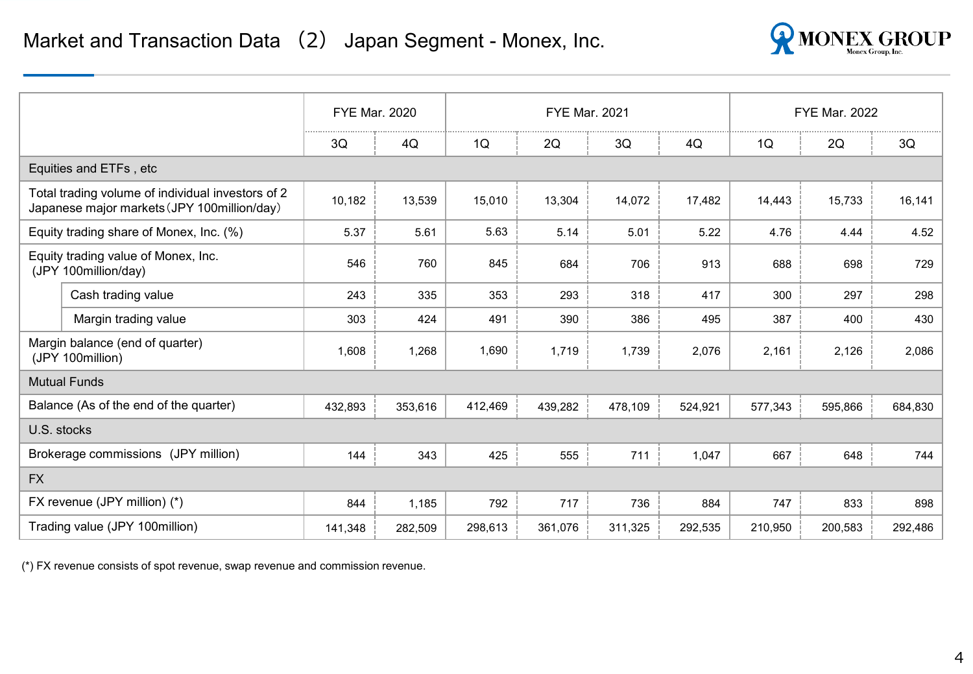

|             |                                                                                                  | <b>FYE Mar. 2020</b> |         |         | <b>FYE Mar. 2021</b> |         |         |         | <b>FYE Mar. 2022</b> |         |
|-------------|--------------------------------------------------------------------------------------------------|----------------------|---------|---------|----------------------|---------|---------|---------|----------------------|---------|
|             |                                                                                                  | 3Q                   | 4Q      | 1Q      | 2Q                   | 3Q      | 4Q      | 1Q      | 2Q                   | 3Q      |
|             | Equities and ETFs, etc                                                                           |                      |         |         |                      |         |         |         |                      |         |
|             | Total trading volume of individual investors of 2<br>Japanese major markets (JPY 100million/day) | 10,182               | 13,539  | 15,010  | 13,304               | 14,072  | 17,482  | 14,443  | 15,733               | 16,141  |
|             | Equity trading share of Monex, Inc. (%)                                                          | 5.37                 | 5.61    | 5.63    | 5.14                 | 5.01    | 5.22    | 4.76    | 4.44                 | 4.52    |
|             | Equity trading value of Monex, Inc.<br>(JPY 100million/day)                                      | 546                  | 760     | 845     | 684                  | 706     | 913     | 688     | 698                  | 729     |
|             | Cash trading value                                                                               | 243                  | 335     | 353     | 293                  | 318     | 417     | 300     | 297                  | 298     |
|             | Margin trading value                                                                             | 303                  | 424     | 491     | 390                  | 386     | 495     | 387     | 400                  | 430     |
|             | Margin balance (end of quarter)<br>(JPY 100million)                                              | 1,608                | 1,268   | 1,690   | 1,719                | 1,739   | 2,076   | 2,161   | 2,126                | 2,086   |
|             | <b>Mutual Funds</b>                                                                              |                      |         |         |                      |         |         |         |                      |         |
|             | Balance (As of the end of the quarter)                                                           | 432,893              | 353,616 | 412,469 | 439,282              | 478,109 | 524,921 | 577,343 | 595,866              | 684,830 |
| U.S. stocks |                                                                                                  |                      |         |         |                      |         |         |         |                      |         |
|             | Brokerage commissions (JPY million)                                                              | 144                  | 343     | 425     | 555                  | 711     | 1,047   | 667     | 648                  | 744     |
| <b>FX</b>   |                                                                                                  |                      |         |         |                      |         |         |         |                      |         |
|             | FX revenue (JPY million) (*)                                                                     | 844                  | 1,185   | 792     | 717                  | 736     | 884     | 747     | 833                  | 898     |
|             | Trading value (JPY 100million)                                                                   | 141,348              | 282,509 | 298,613 | 361,076              | 311,325 | 292,535 | 210,950 | 200,583              | 292,486 |

(\*) FX revenue consists of spot revenue, swap revenue and commission revenue.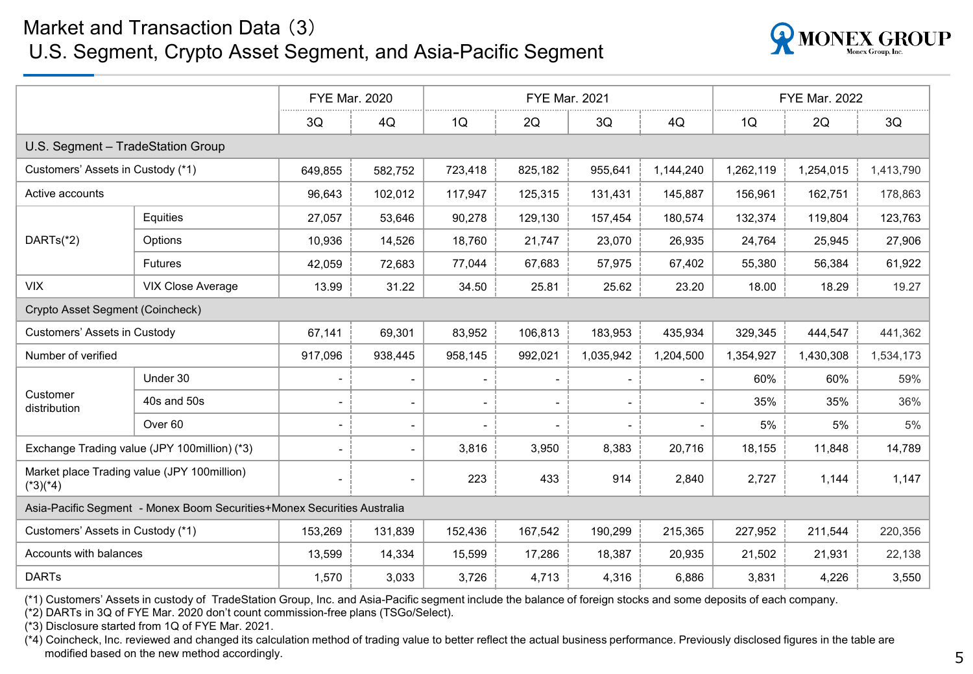#### Market and Transaction Data (3)

#### U.S. Segment, Crypto Asset Segment, and Asia-Pacific Segment



|                                        |                                                                         | <b>FYE Mar. 2020</b> |                          |                              | <b>FYE Mar. 2021</b>     |                          |           | <b>FYE Mar. 2022</b> |           |           |
|----------------------------------------|-------------------------------------------------------------------------|----------------------|--------------------------|------------------------------|--------------------------|--------------------------|-----------|----------------------|-----------|-----------|
|                                        |                                                                         | 3Q                   | 4Q                       | 1Q                           | 2Q                       | 3Q                       | 4Q        | 1Q                   | 2Q        | 3Q        |
| U.S. Segment - TradeStation Group      |                                                                         |                      |                          |                              |                          |                          |           |                      |           |           |
| Customers' Assets in Custody (*1)      |                                                                         | 649,855              | 582,752                  | 723,418                      | 825,182                  | 955,641                  | 1,144,240 | 1,262,119            | 1,254,015 | 1,413,790 |
| Active accounts                        |                                                                         | 96,643               | 102,012                  | 117,947                      | 125,315                  | 131,431                  | 145,887   | 156,961              | 162,751   | 178,863   |
| Equities                               |                                                                         | 27,057               | 53,646                   | 90,278                       | 129,130                  | 157,454                  | 180,574   | 132,374              | 119,804   | 123,763   |
| DARTs(*2)                              | Options                                                                 | 10,936               | 14,526                   | 18,760                       | 21,747                   | 23,070                   | 26,935    | 24,764               | 25,945    | 27,906    |
|                                        | <b>Futures</b>                                                          | 42,059               | 72,683                   | 77,044                       | 67,683                   | 57,975                   | 67,402    | 55,380               | 56,384    | 61,922    |
| <b>VIX</b><br><b>VIX Close Average</b> |                                                                         | 13.99                | 31.22                    | 34.50                        | 25.81                    | 25.62                    | 23.20     | 18.00                | 18.29     | 19.27     |
| Crypto Asset Segment (Coincheck)       |                                                                         |                      |                          |                              |                          |                          |           |                      |           |           |
| Customers' Assets in Custody           |                                                                         | 67,141               | 69,301                   | 83,952                       | 106,813                  | 183,953                  | 435,934   | 329,345              | 444,547   | 441,362   |
| Number of verified                     |                                                                         | 917,096              | 938,445                  | 958,145                      | 992,021                  | 1,035,942                | 1,204,500 | 1,354,927            | 1,430,308 | 1,534,173 |
|                                        | Under 30                                                                | $\blacksquare$       | $\overline{\phantom{a}}$ | $\overline{\phantom{a}}$     |                          |                          |           | 60%                  | 60%       | 59%       |
| Customer<br>distribution               | 40s and 50s                                                             | $\blacksquare$       | $\blacksquare$           | $\blacksquare$               | $\overline{\phantom{a}}$ | $\overline{\phantom{0}}$ |           | 35%                  | 35%       | 36%       |
|                                        | Over <sub>60</sub>                                                      | $\blacksquare$       | $\blacksquare$           | $\qquad \qquad \blacksquare$ |                          |                          |           | 5%                   | 5%        | 5%        |
|                                        | Exchange Trading value (JPY 100million) (*3)                            | $\blacksquare$       | $\blacksquare$           | 3,816                        | 3,950                    | 8,383                    | 20,716    | 18,155               | 11,848    | 14,789    |
| $(*3)(*4)$                             | Market place Trading value (JPY 100million)                             | $\blacksquare$       | $\blacksquare$           | 223                          | 433                      | 914                      | 2,840     | 2,727                | 1,144     | 1,147     |
|                                        | Asia-Pacific Segment - Monex Boom Securities+Monex Securities Australia |                      |                          |                              |                          |                          |           |                      |           |           |
| Customers' Assets in Custody (*1)      |                                                                         | 153,269              | 131,839                  | 152,436                      | 167,542                  | 190,299                  | 215,365   | 227,952              | 211,544   | 220,356   |
| Accounts with balances                 |                                                                         | 13,599               | 14,334                   | 15,599                       | 17,286                   | 18,387                   | 20,935    | 21,502               | 21,931    | 22,138    |
| <b>DARTs</b>                           |                                                                         | 1,570                | 3,033                    | 3,726                        | 4,713                    | 4,316                    | 6,886     | 3,831                | 4,226     | 3,550     |

(\*1) Customers' Assets in custody of TradeStation Group, Inc. and Asia-Pacific segment include the balance of foreign stocks and some deposits of each company.

(\*2) DARTs in 3Q of FYE Mar. 2020 don't count commission-free plans (TSGo/Select).

(\*3) Disclosure started from 1Q of FYE Mar. 2021.

(\*4) Coincheck, Inc. reviewed and changed its calculation method of trading value to better reflect the actual business performance. Previously disclosed figures in the table are modified based on the new method accordingly.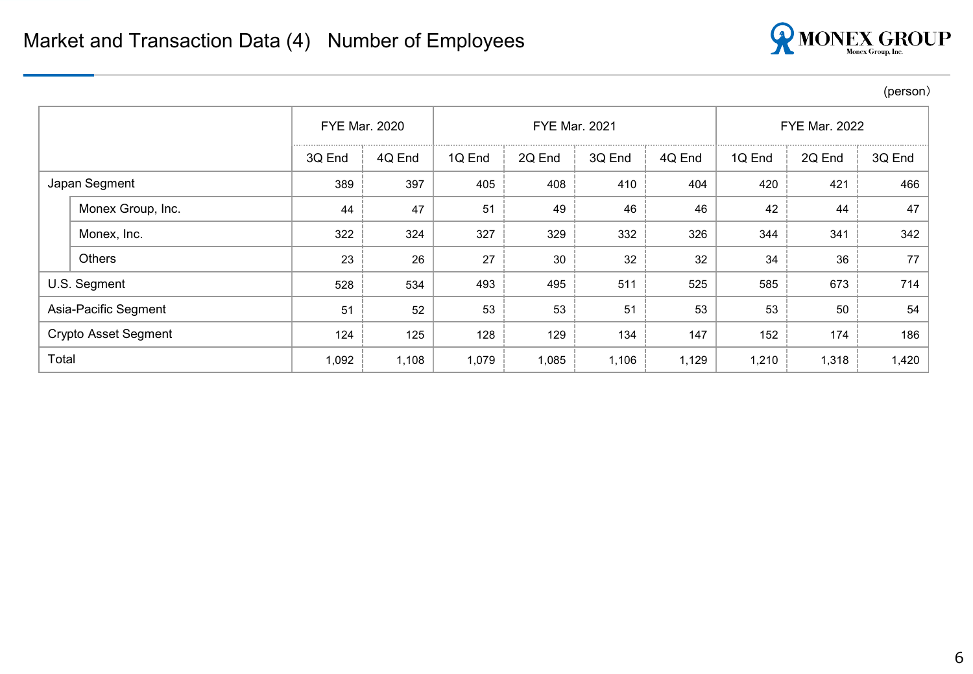

(person)

|                             | <b>FYE Mar. 2020</b> |        |        |        | <b>FYE Mar. 2021</b> | <b>FYE Mar. 2022</b> |        |        |        |
|-----------------------------|----------------------|--------|--------|--------|----------------------|----------------------|--------|--------|--------|
|                             | 3Q End               | 4Q End | 1Q End | 2Q End | 3Q End               | 4Q End               | 1Q End | 2Q End | 3Q End |
| Japan Segment               | 389                  | 397    | 405    | 408    | 410                  | 404                  | 420    | 421    | 466    |
| Monex Group, Inc.           | 44                   | 47     | 51     | 49     | 46                   | 46                   | 42     | 44     | 47     |
| Monex, Inc.                 | 322                  | 324    | 327    | 329    | 332                  | 326                  | 344    | 341    | 342    |
| <b>Others</b>               | 23                   | 26     | 27     | 30     | 32                   | 32                   | 34     | 36     | 77     |
| U.S. Segment                | 528                  | 534    | 493    | 495    | 511                  | 525                  | 585    | 673    | 714    |
| Asia-Pacific Segment        | 51                   | 52     | 53     | 53     | 51                   | 53                   | 53     | 50     | 54     |
| <b>Crypto Asset Segment</b> | 124                  | 125    | 128    | 129    | 134                  | 147                  | 152    | 174    | 186    |
| Total                       |                      | 1,108  | 1,079  | 1,085  | 1,106                | 1,129                | 1,210  | 1,318  | 1,420  |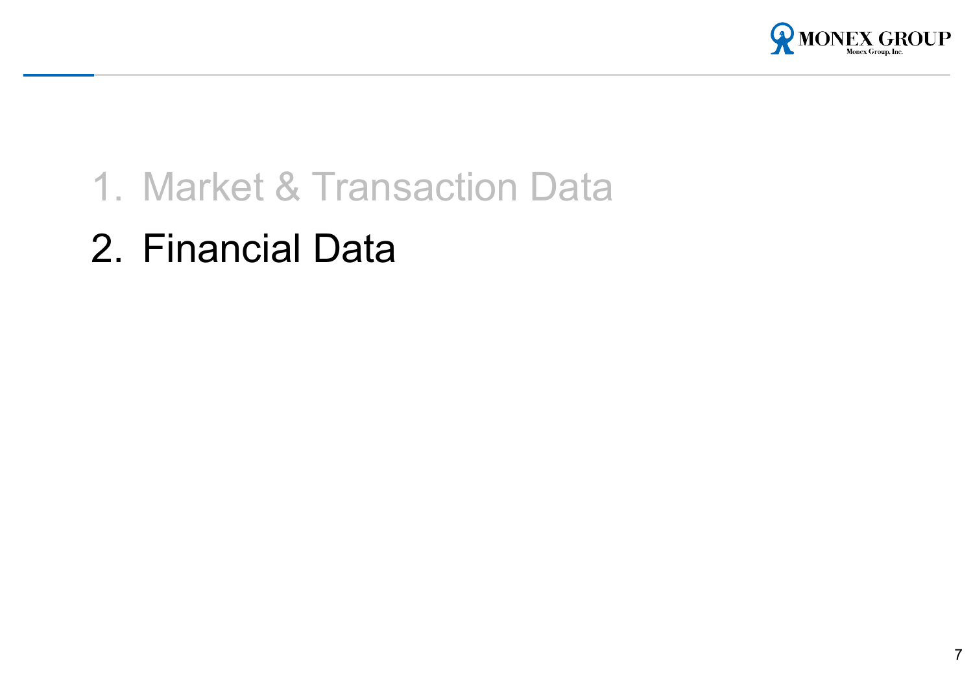

## 1. Market & Transaction Data

2. Financial Data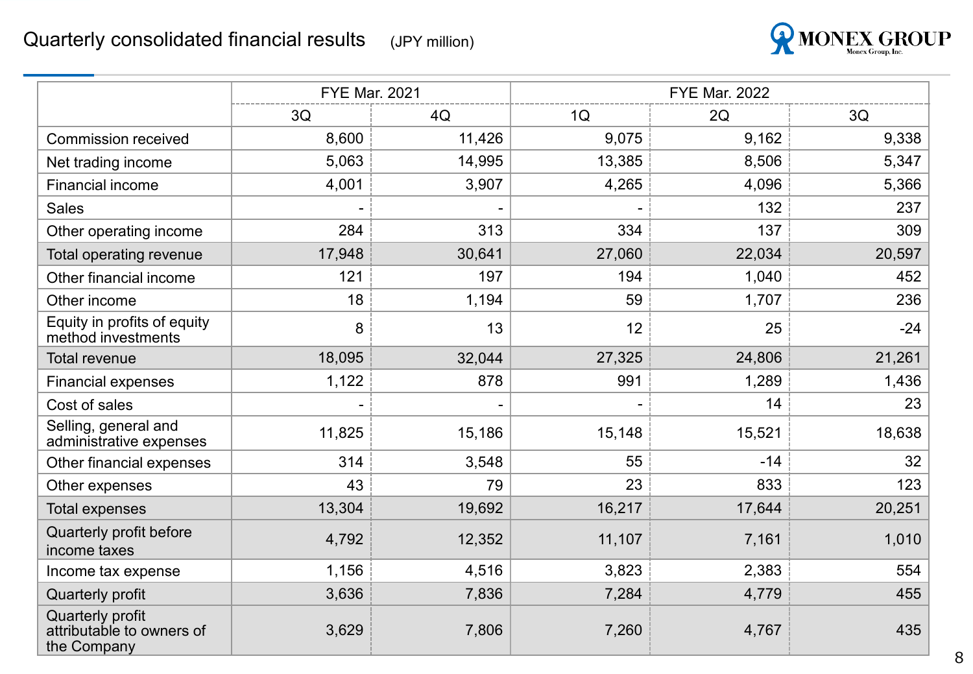

|                                                              | <b>FYE Mar. 2021</b> |        | <b>FYE Mar. 2022</b> |        |        |  |  |
|--------------------------------------------------------------|----------------------|--------|----------------------|--------|--------|--|--|
|                                                              | 3Q                   | 4Q     | 1Q                   | 2Q     | 3Q     |  |  |
| <b>Commission received</b>                                   | 8,600                | 11,426 | 9,075                | 9,162  | 9,338  |  |  |
| Net trading income                                           | 5,063                | 14,995 | 13,385               | 8,506  | 5,347  |  |  |
| <b>Financial income</b>                                      | 4,001                | 3,907  | 4,265                | 4,096  | 5,366  |  |  |
| <b>Sales</b>                                                 |                      |        |                      | 132    | 237    |  |  |
| Other operating income                                       | 284                  | 313    | 334                  | 137    | 309    |  |  |
| Total operating revenue                                      | 17,948               | 30,641 | 27,060               | 22,034 | 20,597 |  |  |
| Other financial income                                       | 121                  | 197    | 194                  | 1,040  | 452    |  |  |
| Other income                                                 | 18                   | 1,194  | 59                   | 1,707  | 236    |  |  |
| Equity in profits of equity<br>method investments            | 8                    | 13     | 12                   | 25     | $-24$  |  |  |
| <b>Total revenue</b>                                         | 18,095               | 32,044 | 27,325               | 24,806 | 21,261 |  |  |
| <b>Financial expenses</b>                                    | 1,122                | 878    | 991                  | 1,289  | 1,436  |  |  |
| Cost of sales                                                |                      |        |                      | 14     | 23     |  |  |
| Selling, general and<br>administrative expenses              | 11,825               | 15,186 | 15,148               | 15,521 | 18,638 |  |  |
| Other financial expenses                                     | 314                  | 3,548  | 55                   | $-14$  | 32     |  |  |
| Other expenses                                               | 43                   | 79     | 23                   | 833    | 123    |  |  |
| <b>Total expenses</b>                                        | 13,304               | 19,692 | 16,217               | 17,644 | 20,251 |  |  |
| Quarterly profit before<br>income taxes                      | 4,792                | 12,352 | 11,107               | 7,161  | 1,010  |  |  |
| Income tax expense                                           | 1,156                | 4,516  | 3,823                | 2,383  | 554    |  |  |
| Quarterly profit                                             | 3,636                | 7,836  | 7,284                | 4,779  | 455    |  |  |
| Quarterly profit<br>attributable to owners of<br>the Company | 3,629                | 7,806  | 7,260                | 4,767  | 435    |  |  |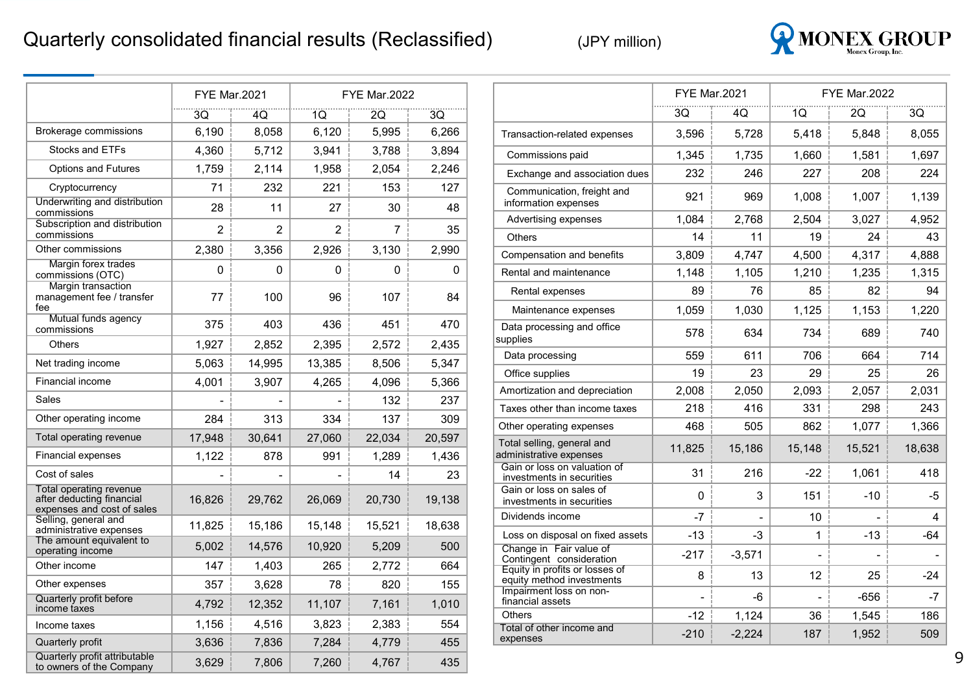#### Quarterly consolidated financial results (Reclassified)



|                                                                                    |                          | <b>FYE Mar.2021</b><br><b>FYE Mar.2022</b> |                |                |        |
|------------------------------------------------------------------------------------|--------------------------|--------------------------------------------|----------------|----------------|--------|
|                                                                                    | 3Q                       | 4Q                                         | 1Q             | 2Q             | 3Q     |
| Brokerage commissions                                                              | 6,190                    | 8,058                                      | 6,120          | 5,995          | 6,266  |
| Stocks and ETFs                                                                    | 4,360                    | 5,712                                      | 3,941          | 3,788          | 3,894  |
| <b>Options and Futures</b>                                                         | 1,759                    | 2,114                                      | 1,958          | 2.054          | 2,246  |
| Cryptocurrency                                                                     | 71                       | 232                                        | 221            | 153            | 127    |
| Underwriting and distribution<br>commissions                                       | 28                       | 11                                         | 27             | 30             | 48     |
| Subscription and distribution<br>commissions                                       | $\overline{2}$           | $\overline{2}$                             | $\overline{2}$ | $\overline{7}$ | 35     |
| Other commissions                                                                  | 2,380                    | 3,356                                      | 2,926          | 3,130          | 2,990  |
| Margin forex trades<br>commissions (OTC)                                           | 0                        | 0                                          | 0              | 0              | 0      |
| <b>Margin transaction</b><br>management fee / transfer<br>fee                      | 77                       | 100                                        | 96             | 107            | 84     |
| Mutual funds agency<br>commissions                                                 | 375                      | 403                                        | 436            | 451            | 470    |
| <b>Others</b>                                                                      | 1,927                    | 2,852                                      | 2,395          | 2,572          | 2,435  |
| Net trading income                                                                 | 5,063                    | 14,995                                     | 13,385         | 8,506          | 5,347  |
| Financial income                                                                   | 4,001                    | 3,907                                      | 4,265          | 4,096          | 5,366  |
| Sales                                                                              | $\overline{\phantom{0}}$ | $\overline{\phantom{0}}$                   | $\overline{a}$ | 132            | 237    |
| Other operating income                                                             | 284                      | 313                                        | 334            | 137            | 309    |
| Total operating revenue                                                            | 17,948                   | 30,641                                     | 27,060         | 22,034         | 20,597 |
| Financial expenses                                                                 | 1,122                    | 878                                        | 991            | 1,289          | 1,436  |
| Cost of sales                                                                      |                          |                                            |                | 14             | 23     |
| Total operating revenue<br>after deducting financial<br>expenses and cost of sales | 16,826                   | 29,762                                     | 26,069         | 20,730         | 19,138 |
| Selling, general and<br>administrative expenses                                    | 11,825                   | 15,186                                     | 15,148         | 15,521         | 18,638 |
| The amount equivalent to<br>operating income                                       | 5,002                    | 14,576                                     | 10,920         | 5,209          | 500    |
| Other income                                                                       | 147                      | 1,403                                      | 265            | 2,772          | 664    |
| Other expenses                                                                     | 357                      | 3,628                                      | 78             | 820            | 155    |
| Quarterly profit before<br>income taxes                                            | 4,792                    | 12,352                                     | 11,107         | 7,161          | 1,010  |
| Income taxes                                                                       | 1,156                    | 4,516                                      | 3,823          | 2,383          | 554    |
| Quarterly profit                                                                   | 3,636                    | 7,836                                      | 7,284          | 4,779          | 455    |
| Quarterly profit attributable<br>to owners of the Company                          | 3,629                    | 7,806                                      | 7,260          | 4,767          | 435    |

|                                                             | <b>FYE Mar.2021</b> |          |        | <b>FYE Mar.2022</b> |        |  |  |
|-------------------------------------------------------------|---------------------|----------|--------|---------------------|--------|--|--|
|                                                             | 30                  | 40       | 1Q     | 20                  | 30     |  |  |
| Transaction-related expenses                                | 3,596               | 5,728    | 5.418  | 5.848               | 8,055  |  |  |
| Commissions paid                                            | 1,345               | 1,735    | 1.660  | 1,581               | 1,697  |  |  |
| Exchange and association dues                               | 232                 | 246      | 227    | 208                 | 224    |  |  |
| Communication, freight and<br>information expenses          | 921                 | 969      | 1,008  | 1,007               | 1,139  |  |  |
| Advertising expenses                                        | 1,084               | 2.768    | 2,504  | 3,027               | 4,952  |  |  |
| <b>Others</b>                                               | 14                  | 11       | 19     | 24                  | 43     |  |  |
| Compensation and benefits                                   | 3,809               | 4,747    | 4,500  | 4,317               | 4,888  |  |  |
| Rental and maintenance                                      | 1,148               | 1,105    | 1,210  | 1,235               | 1,315  |  |  |
| Rental expenses                                             | 89                  | 76       | 85     | 82                  | 94     |  |  |
| Maintenance expenses                                        | 1,059               | 1,030    | 1,125  | 1,153               | 1,220  |  |  |
| Data processing and office<br>supplies                      | 578                 | 634      | 734    | 689                 | 740    |  |  |
| Data processing                                             | 559                 | 611      | 706    | 664                 | 714    |  |  |
| Office supplies                                             | 19                  | 23       | 29     | 25                  | 26     |  |  |
| Amortization and depreciation                               | 2,008               | 2,050    | 2,093  | 2,057               | 2,031  |  |  |
| Taxes other than income taxes                               | 218                 | 416      | 331    | 298                 | 243    |  |  |
| Other operating expenses                                    | 468                 | 505      | 862    | 1,077               | 1,366  |  |  |
| Total selling, general and<br>administrative expenses       | 11,825              | 15,186   | 15,148 | 15,521              | 18,638 |  |  |
| Gain or loss on valuation of<br>investments in securities   | 31                  | 216      | $-22$  | 1,061               | 418    |  |  |
| Gain or loss on sales of<br>investments in securities       | 0                   | 3        | 151    | -10                 | -5     |  |  |
| Dividends income                                            | $-7$                |          | 10     |                     | 4      |  |  |
| Loss on disposal on fixed assets                            | $-13$               | -3       | 1      | $-13$               | $-64$  |  |  |
| Change in Fair value of<br>Contingent consideration         | $-217$              | $-3,571$ |        |                     |        |  |  |
| Equity in profits or losses of<br>equity method investments | 8                   | 13       | 12     | 25                  | $-24$  |  |  |
| Impairment loss on non-<br>financial assets                 |                     | -6       |        | -656                | -7     |  |  |
| <b>Others</b>                                               | $-12$               | 1,124    | 36     | 1,545               | 186    |  |  |
| Total of other income and<br>expenses                       | $-210$              | $-2,224$ | 187    | 1,952               | 509    |  |  |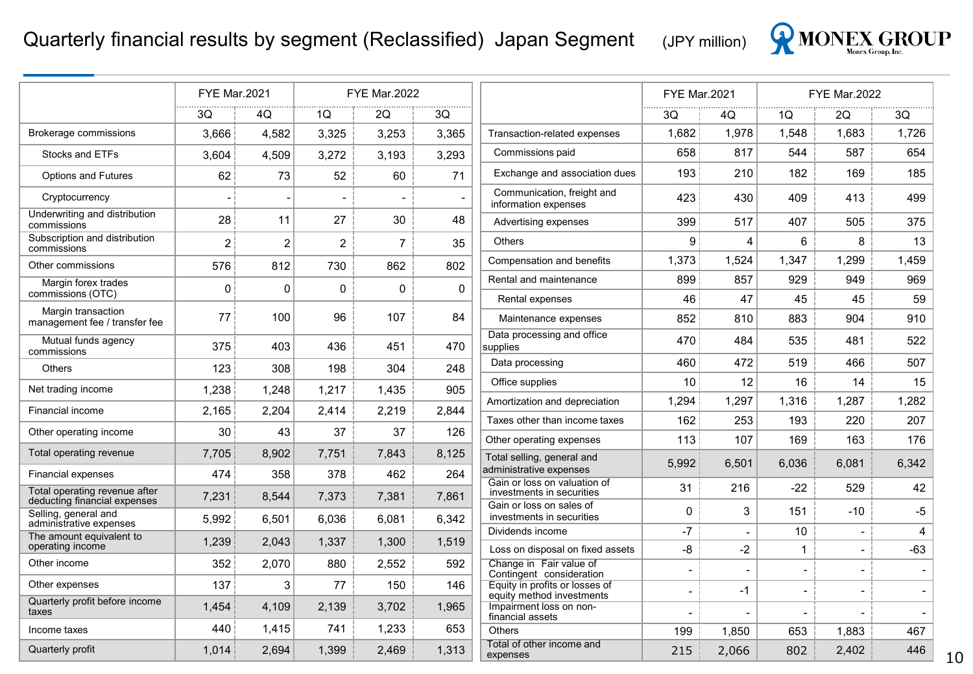#### Quarterly financial results by segment (Reclassified) Japan Segment <sub>(JPY million)</sub>



|                                                               | <b>FYE Mar.2021</b> |                |             | <b>FYE Mar.2022</b> |             |                                                             | <b>FYE Mar.2021</b>      |                          |                          | <b>FYE Mar.2022</b>      |       |
|---------------------------------------------------------------|---------------------|----------------|-------------|---------------------|-------------|-------------------------------------------------------------|--------------------------|--------------------------|--------------------------|--------------------------|-------|
|                                                               | 3Q                  | 4Q             | 1Q          | 2Q                  | 3Q          |                                                             | 3Q                       | 4Q                       | 1Q                       | 2Q                       | 3Q    |
| Brokerage commissions                                         | 3.666               | 4,582          | 3,325       | 3,253               | 3,365       | Transaction-related expenses                                | 1,682                    | 1,978                    | 1.548                    | 1,683                    | 1,726 |
| Stocks and ETFs                                               | 3,604               | 4,509          | 3,272       | 3,193               | 3,293       | Commissions paid                                            | 658                      | 817                      | 544                      | 587                      | 654   |
| <b>Options and Futures</b>                                    | 62                  | 73             | 52          | 60                  | 71          | Exchange and association dues                               | 193                      | 210                      | 182                      | 169                      | 185   |
| Cryptocurrency                                                |                     |                | $\sim$      | $\blacksquare$      |             | Communication, freight and<br>information expenses          | 423                      | 430                      | 409                      | 413                      | 499   |
| Underwriting and distribution<br>commissions                  | 28                  | 11             | 27          | 30                  | 48          | Advertising expenses                                        | 399                      | 517                      | 407                      | 505                      | 375   |
| Subscription and distribution<br>commissions                  | $\overline{2}$      | $\overline{2}$ | 2           | $\overline{7}$      | 35          | <b>Others</b>                                               | 9                        | $\overline{A}$           | 6                        | 8                        | 13    |
| Other commissions                                             | 576                 | 812            | 730         | 862                 | 802         | Compensation and benefits                                   | 1,373                    | 1,524                    | 1,347                    | 1,299                    | 1,459 |
| Margin forex trades                                           | $\Omega$            | $\Omega$       | $\mathbf 0$ | 0                   | $\mathbf 0$ | Rental and maintenance                                      | 899                      | 857                      | 929                      | 949                      | 969   |
| commissions (OTC)                                             |                     |                |             |                     |             | Rental expenses                                             | 46                       | 47                       | 45                       | 45                       | 59    |
| Margin transaction<br>management fee / transfer fee           | 77                  | 100            | 96          | 107                 | 84          | Maintenance expenses                                        | 852                      | 810                      | 883                      | 904                      | 910   |
| Mutual funds agency<br>commissions                            | 375                 | 403            | 436         | 451                 | 470         | Data processing and office<br>supplies                      | 470                      | 484                      | 535                      | 481                      | 522   |
| <b>Others</b>                                                 | 123                 | 308            | 198         | 304                 | 248         | Data processing                                             | 460                      | 472                      | 519                      | 466                      | 507   |
| Net trading income                                            | 1,238               | 1,248          | 1,217       | 1,435               | 905         | Office supplies                                             | 10                       | 12                       | 16                       | 14                       | 15    |
| Financial income                                              | 2,165               | 2,204          | 2,414       | 2,219               | 2,844       | Amortization and depreciation                               | 1,294                    | 1,297                    | 1,316                    | 1,287                    | 1,282 |
|                                                               |                     |                |             |                     |             | Taxes other than income taxes                               | 162                      | 253                      | 193                      | 220                      | 207   |
| Other operating income                                        | 30                  | 43             | 37          | 37                  | 126         | Other operating expenses                                    | 113                      | 107                      | 169                      | 163                      | 176   |
| Total operating revenue                                       | 7,705               | 8,902          | 7,751       | 7.843               | 8,125       | Total selling, general and                                  | 5,992                    | 6,501                    | 6,036                    | 6,081                    | 6,342 |
| <b>Financial expenses</b>                                     | 474                 | 358            | 378         | 462                 | 264         | administrative expenses<br>Gain or loss on valuation of     |                          |                          |                          |                          |       |
| Total operating revenue after<br>deducting financial expenses | 7,231               | 8,544          | 7,373       | 7,381               | 7,861       | investments in securities<br>Gain or loss on sales of       | 31                       | 216                      | $-22$                    | 529                      | 42    |
| Selling, general and<br>administrative expenses               | 5,992               | 6,501          | 6,036       | 6.081               | 6,342       | investments in securities                                   | $\mathbf 0$              | 3                        | 151                      | $-10$                    | $-5$  |
| The amount equivalent to                                      | 1,239               | 2,043          | 1,337       | 1,300               | 1,519       | Dividends income                                            | $-7$                     | $\sim$                   | 10                       | $\overline{\phantom{a}}$ | 4     |
| operating income                                              |                     |                | 880         |                     | 592         | Loss on disposal on fixed assets                            | -8                       | $-2$                     | $\mathbf 1$              | $\overline{a}$           | $-63$ |
| Other income                                                  | 352                 | 2,070          |             | 2,552               |             | Change in Fair value of<br>Contingent consideration         | $\blacksquare$           | $\overline{\phantom{a}}$ | $\overline{\phantom{a}}$ | $\overline{\phantom{0}}$ |       |
| Other expenses                                                | 137                 | 3              | 77          | 150                 | 146         | Equity in profits or losses of<br>equity method investments | $\blacksquare$           | $-1$                     |                          | $\blacksquare$           |       |
| Quarterly profit before income<br>taxes                       | 1,454               | 4,109          | 2,139       | 3,702               | 1,965       | Impairment loss on non-<br>financial assets                 | $\overline{\phantom{a}}$ |                          |                          | $\overline{\phantom{a}}$ |       |
| Income taxes                                                  | 440                 | 1,415          | 741         | 1,233               | 653         | <b>Others</b>                                               | 199                      | 1,850                    | 653                      | 1,883                    | 467   |
| Quarterly profit                                              | 1,014               | 2,694          | 1,399       | 2,469               | 1,313       | Total of other income and<br>expenses                       | 215                      | 2,066                    | 802                      | 2,402                    | 446   |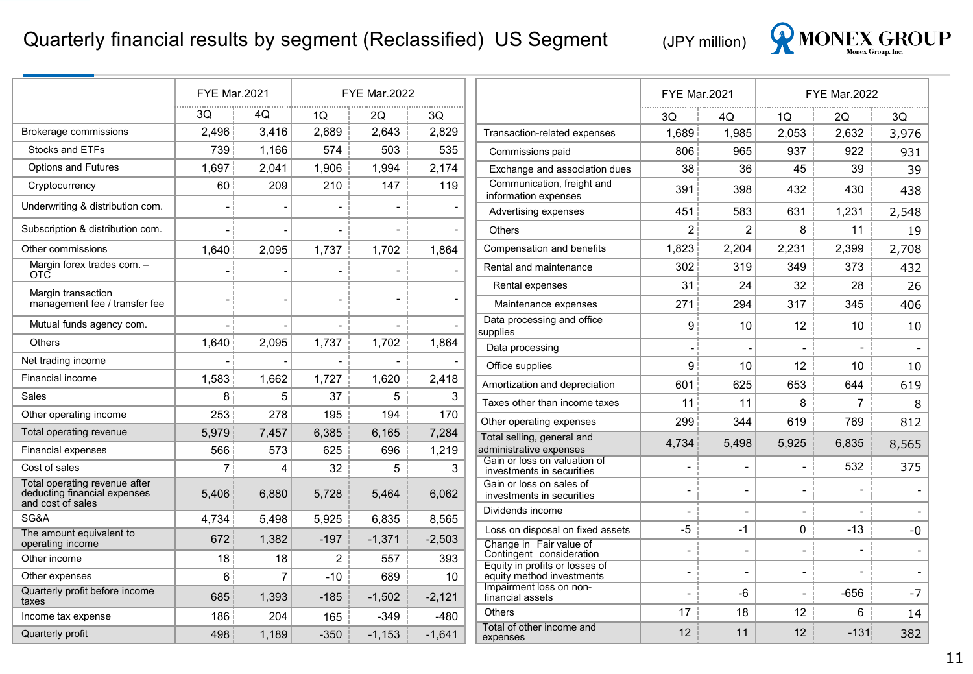#### Quarterly financial results by segment (Reclassified) US Segment (JPY million)



|                                                                                    | <b>FYE Mar.2021</b> |                |                | <b>FYE Mar.2022</b>      |                          |                                                             | <b>FYE Mar.2021</b> |                          |                          | <b>FYE Mar.2022</b> |                          |
|------------------------------------------------------------------------------------|---------------------|----------------|----------------|--------------------------|--------------------------|-------------------------------------------------------------|---------------------|--------------------------|--------------------------|---------------------|--------------------------|
|                                                                                    | 3Q                  | 4Q             | 1Q             | 2Q                       | 3Q                       |                                                             | 3Q.                 | 4Q                       | 1Q                       | 2Q                  | 3Q                       |
| Brokerage commissions                                                              | 2,496               | 3,416          | 2,689          | 2,643                    | 2,829                    | Transaction-related expenses                                | 1,689               | 1,985                    | 2,053                    | 2,632               | 3,976                    |
| Stocks and ETFs                                                                    | 739                 | 1,166          | 574            | 503                      | 535                      | Commissions paid                                            | 806                 | 965                      | 937                      | 922                 | 931                      |
| <b>Options and Futures</b>                                                         | 1,697               | 2,041          | 1,906          | 1,994                    | 2,174                    | Exchange and association dues                               | 38                  | 36                       | 45                       | 39                  | 39                       |
| Cryptocurrency                                                                     | 60                  | 209            | 210            | 147                      | 119                      | Communication, freight and<br>information expenses          | 391                 | 398                      | 432                      | 430                 | 438                      |
| Underwriting & distribution com.                                                   |                     |                |                |                          |                          | Advertising expenses                                        | 451                 | 583                      | 631                      | 1,231               | 2,548                    |
| Subscription & distribution com.                                                   |                     |                |                | $\overline{\phantom{0}}$ | $\overline{\phantom{a}}$ | Others                                                      | 2                   | $\overline{c}$           | 8                        | 11                  | 19                       |
| Other commissions                                                                  | 1,640               | 2,095          | 1,737          | 1,702                    | 1,864                    | Compensation and benefits                                   | 1,823               | 2,204                    | 2,231                    | 2,399               | 2,708                    |
| Margin forex trades com. -<br>OTC                                                  |                     |                |                | $\overline{\phantom{0}}$ |                          | Rental and maintenance                                      | 302                 | 319                      | 349                      | 373                 | 432                      |
| Margin transaction                                                                 |                     |                |                |                          |                          | Rental expenses                                             | 31                  | 24                       | 32                       | 28                  | 26                       |
| management fee / transfer fee                                                      |                     |                |                |                          |                          | Maintenance expenses                                        | 271                 | 294                      | 317                      | 345                 | 406                      |
| Mutual funds agency com.                                                           |                     |                |                |                          | $\blacksquare$           | Data processing and office<br>supplies                      | 9                   | 10                       | 12                       | 10                  | 10                       |
| Others                                                                             | 1,640               | 2,095          | 1,737          | 1,702                    | 1,864                    | Data processing                                             |                     |                          |                          |                     |                          |
| Net trading income                                                                 |                     |                |                |                          |                          | Office supplies                                             | 9                   | 10                       | 12                       | 10                  | 10                       |
| Financial income                                                                   | 1,583               | 1,662          | 1,727          | 1,620                    | 2,418                    | Amortization and depreciation                               | 601                 | 625                      | 653                      | 644                 | 619                      |
| Sales                                                                              | 8                   | 5              | 37             | 5                        | $\mathsf 3$              | Taxes other than income taxes                               | 11                  | 11                       | 8                        | $\overline{7}$      | 8                        |
| Other operating income                                                             | 253                 | 278            | 195            | 194                      | 170                      | Other operating expenses                                    | 299                 | 344                      | 619                      | 769                 | 812                      |
| Total operating revenue                                                            | 5,979               | 7,457          | 6,385          | 6,165                    | 7,284                    | Total selling, general and                                  |                     |                          |                          |                     |                          |
| <b>Financial expenses</b>                                                          | 566                 | 573            | 625            | 696                      | 1,219                    | administrative expenses                                     | 4,734               | 5.498                    | 5,925                    | 6,835               | 8,565                    |
| Cost of sales                                                                      | $\overline{7}$      | $\overline{A}$ | 32             | 5                        | 3                        | Gain or loss on valuation of<br>investments in securities   |                     | $\overline{a}$           |                          | 532                 | 375                      |
| Total operating revenue after<br>deducting financial expenses<br>and cost of sales | 5,406               | 6,880          | 5,728          | 5,464                    | 6,062                    | Gain or loss on sales of<br>investments in securities       |                     | $\blacksquare$           |                          |                     |                          |
| SG&A                                                                               | 4.734               | 5.498          | 5,925          | 6.835                    | 8,565                    | Dividends income                                            |                     | $\overline{\phantom{a}}$ | $\overline{\phantom{a}}$ |                     | $\overline{\phantom{a}}$ |
| The amount equivalent to<br>operating income                                       | 672                 | 1,382          | $-197$         | $-1,371$                 | $-2,503$                 | Loss on disposal on fixed assets<br>Change in Fair value of | -5                  | $-1$                     | $\mathbf 0$              | $-13$               | -0                       |
| Other income                                                                       | 18                  | 18             | $\overline{2}$ | 557                      | 393                      | Contingent consideration                                    |                     | $\overline{\phantom{a}}$ | $\blacksquare$           |                     | $\blacksquare$           |
| Other expenses                                                                     | 6                   | $\overline{7}$ | $-10$          | 689                      | 10                       | Equity in profits or losses of<br>equity method investments | $\blacksquare$      | $\overline{\phantom{a}}$ | $\blacksquare$           |                     | $\overline{\phantom{a}}$ |
| Quarterly profit before income<br>taxes                                            | 685                 | 1,393          | $-185$         | $-1,502$                 | $-2,121$                 | Impairment loss on non-<br>financial assets                 |                     | -6                       | $\blacksquare$           | $-656$              | $-7$                     |
| Income tax expense                                                                 | 186                 | 204            | 165            | $-349$                   | $-480$                   | Others                                                      | 17                  | 18                       | 12                       | 6                   | 14                       |
| Quarterly profit                                                                   | 498                 | 1,189          | $-350$         | $-1,153$                 | $-1.641$                 | Total of other income and<br>expenses                       | 12                  | 11                       | 12                       | $-131$              | 382                      |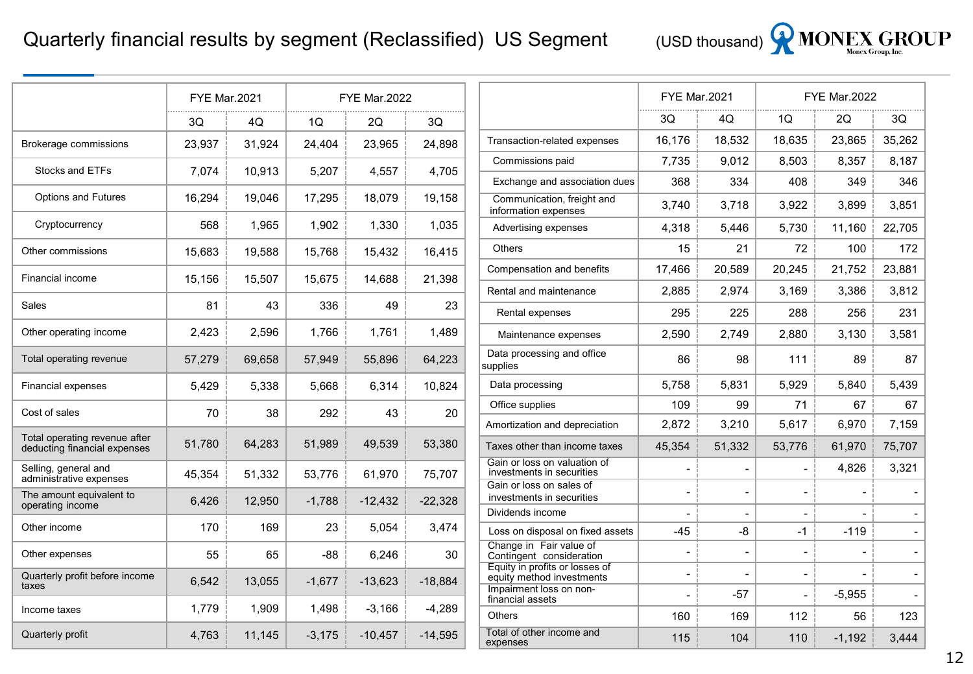

|                                                               | <b>FYE Mar.2021</b> |        | <b>FYE Mar.2022</b> |           |           |  |  |
|---------------------------------------------------------------|---------------------|--------|---------------------|-----------|-----------|--|--|
|                                                               | 3Q                  | 40     | 10                  | 20        | 3Q        |  |  |
| Brokerage commissions                                         | 23,937              | 31,924 | 24,404              | 23,965    | 24,898    |  |  |
| <b>Stocks and ETFs</b>                                        | 7,074               | 10,913 | 5,207               | 4,557     | 4,705     |  |  |
| <b>Options and Futures</b>                                    | 16,294              | 19,046 | 17,295              | 18,079    | 19,158    |  |  |
| Cryptocurrency                                                | 568                 | 1,965  | 1,902               | 1,330     | 1,035     |  |  |
| Other commissions                                             | 15,683              | 19,588 | 15,768              | 15,432    | 16,415    |  |  |
| Financial income                                              | 15,156              | 15,507 | 15,675              | 14,688    | 21,398    |  |  |
| Sales                                                         | 81                  | 43     | 336                 | 49        | 23        |  |  |
| Other operating income                                        | 2,423               | 2,596  | 1,766               | 1.761     | 1,489     |  |  |
| Total operating revenue                                       | 57,279              | 69,658 | 57,949              | 55,896    | 64,223    |  |  |
| <b>Financial expenses</b>                                     | 5,429               | 5,338  | 5,668               | 6,314     | 10,824    |  |  |
| Cost of sales                                                 | 70                  | 38     | 292                 | 43        | 20        |  |  |
| Total operating revenue after<br>deducting financial expenses | 51,780              | 64,283 | 51,989              | 49,539    | 53,380    |  |  |
| Selling, general and<br>administrative expenses               | 45,354              | 51,332 | 53,776              | 61,970    | 75,707    |  |  |
| The amount equivalent to<br>operating income                  | 6,426               | 12,950 | $-1,788$            | $-12,432$ | $-22,328$ |  |  |
| Other income                                                  | 170                 | 169    | 23                  | 5,054     | 3,474     |  |  |
| Other expenses                                                | 55                  | 65     | $-88$               | 6,246     | 30        |  |  |
| Quarterly profit before income<br>taxes                       | 6,542               | 13,055 | $-1,677$            | $-13,623$ | $-18,884$ |  |  |
| Income taxes                                                  | 1,779               | 1,909  | 1,498               | $-3,166$  | $-4,289$  |  |  |
| Quarterly profit                                              | 4,763               | 11,145 | $-3,175$            | $-10.457$ | $-14,595$ |  |  |

|                                                             | <b>FYE Mar.2021</b>      |                          |                          | <b>FYE Mar.2022</b> |        |  |  |
|-------------------------------------------------------------|--------------------------|--------------------------|--------------------------|---------------------|--------|--|--|
|                                                             | 3Q                       | 40                       | 1Q                       | 2Q                  | 3Q     |  |  |
| Transaction-related expenses                                | 16,176                   | 18,532                   | 18,635                   | 23,865              | 35,262 |  |  |
| Commissions paid                                            | 7,735                    | 9,012                    | 8,503                    | 8,357               | 8,187  |  |  |
| Exchange and association dues                               | 368                      | 334                      | 408                      | 349                 | 346    |  |  |
| Communication, freight and<br>information expenses          | 3,740                    | 3,718                    | 3,922                    | 3,899               | 3,851  |  |  |
| Advertising expenses                                        | 4.318                    | 5.446                    | 5,730                    | 11,160              | 22.705 |  |  |
| <b>Others</b>                                               | 15                       | 21                       | 72                       | 100                 | 172    |  |  |
| Compensation and benefits                                   | 17,466                   | 20,589                   | 20,245                   | 21,752              | 23,881 |  |  |
| Rental and maintenance                                      | 2,885                    | 2,974                    | 3,169                    | 3,386               | 3,812  |  |  |
| Rental expenses                                             | 295                      | 225                      | 288                      | 256                 | 231    |  |  |
| Maintenance expenses                                        | 2,590                    | 2,749                    | 2,880                    | 3,130               | 3,581  |  |  |
| Data processing and office<br>supplies                      | 86                       | 98                       | 111                      | 89                  | 87     |  |  |
| Data processing                                             | 5,758                    | 5,831                    | 5,929                    | 5,840               | 5,439  |  |  |
| Office supplies                                             | 109                      | 99                       | 71                       | 67                  | 67     |  |  |
| Amortization and depreciation                               | 2,872                    | 3,210                    | 5,617                    | 6,970               | 7,159  |  |  |
| Taxes other than income taxes                               | 45,354                   | 51,332                   | 53,776                   | 61,970              | 75,707 |  |  |
| Gain or loss on valuation of<br>investments in securities   |                          |                          |                          | 4,826               | 3,321  |  |  |
| Gain or loss on sales of<br>investments in securities       | -                        | $\overline{\phantom{0}}$ | $\overline{a}$           |                     |        |  |  |
| Dividends income                                            |                          |                          |                          |                     |        |  |  |
| Loss on disposal on fixed assets                            | $-45$                    | -8                       | -1                       | $-119$              |        |  |  |
| Change in Fair value of<br>Contingent consideration         | $\overline{a}$           |                          |                          |                     |        |  |  |
| Equity in profits or losses of<br>equity method investments | $\overline{a}$           |                          | $\overline{a}$           |                     |        |  |  |
| Impairment loss on non-<br>financial assets                 | $\overline{\phantom{0}}$ | -57                      | $\overline{\phantom{0}}$ | $-5,955$            |        |  |  |
| <b>Others</b>                                               | 160                      | 169                      | 112                      | 56                  | 123    |  |  |
| Total of other income and<br>expenses                       | 115                      | 104                      | 110                      | $-1,192$            | 3,444  |  |  |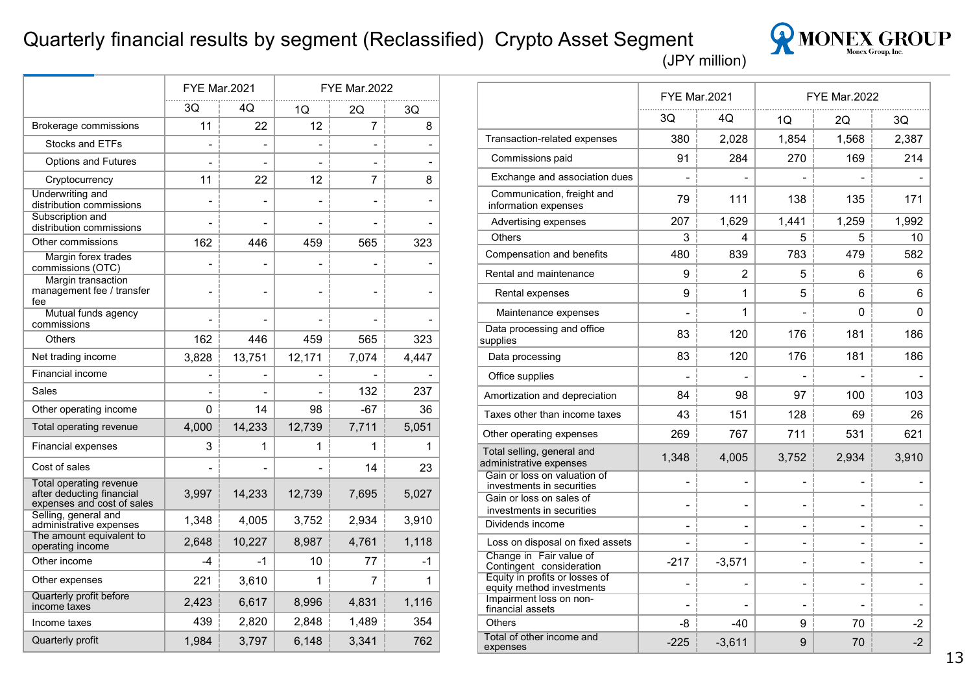#### Quarterly financial results by segment (Reclassified) Crypto Asset Segment (JPY million)



|                                                                                    | <b>FYE Mar.2021</b> |                          |                | <b>FYE Mar.2022</b> |                          |
|------------------------------------------------------------------------------------|---------------------|--------------------------|----------------|---------------------|--------------------------|
|                                                                                    | 3Q                  | 40                       | 1Q             | 2Q                  | 3Q                       |
| Brokerage commissions                                                              | 11                  | 22                       | 12             | $\overline{7}$      | 8                        |
| <b>Stocks and ETFs</b>                                                             | -                   | $\overline{\phantom{0}}$ | -              | -                   | $\overline{\phantom{0}}$ |
| <b>Options and Futures</b>                                                         |                     |                          |                |                     |                          |
| Cryptocurrency                                                                     | 11                  | 22                       | 12             | 7                   | 8                        |
| Underwriting and<br>distribution commissions                                       |                     |                          | $\overline{a}$ | -                   | $\overline{\phantom{0}}$ |
| Subscription and<br>distribution commissions                                       | $\overline{a}$      |                          | $\overline{a}$ | $\overline{a}$      |                          |
| Other commissions                                                                  | 162                 | 446                      | 459            | 565                 | 323                      |
| Margin forex trades<br>commissions (OTC)                                           | -                   |                          | L,             | $\overline{a}$      |                          |
| Margin transaction<br>management fee / transfer<br>fee                             |                     |                          |                |                     |                          |
| Mutual funds agency<br>commissions                                                 |                     |                          |                |                     |                          |
| Others                                                                             | 162                 | 446                      | 459            | 565                 | 323                      |
| Net trading income                                                                 | 3,828               | 13,751                   | 12,171         | 7,074               | 4,447                    |
| <b>Financial income</b>                                                            | -                   |                          | -              |                     |                          |
| Sales                                                                              | -                   |                          |                | 132                 | 237                      |
| Other operating income                                                             | 0                   | 14                       | 98             | $-67$               | 36                       |
| Total operating revenue                                                            | 4,000               | 14,233                   | 12,739         | 7,711               | 5,051                    |
| <b>Financial expenses</b>                                                          | 3                   | 1                        | $\mathbf{1}$   | 1                   | 1                        |
| Cost of sales                                                                      |                     |                          |                | 14                  | 23                       |
| Total operating revenue<br>after deducting financial<br>expenses and cost of sales | 3,997               | 14,233                   | 12,739         | 7,695               | 5,027                    |
| Selling, general and<br>administrative expenses                                    | 1,348               | 4,005                    | 3,752          | 2,934               | 3,910                    |
| The amount equivalent to<br>operating income                                       | 2,648               | 10,227                   | 8,987          | 4,761               | 1,118                    |
| Other income                                                                       | $-4$                | $-1$                     | 10             | 77                  | -1                       |
| Other expenses                                                                     | 221                 | 3,610                    | 1              | 7                   | 1                        |
| Quarterly profit before<br>income taxes                                            | 2,423               | 6,617                    | 8,996          | 4,831               | 1,116                    |
| Income taxes                                                                       | 439                 | 2,820                    | 2.848          | 1,489               | 354                      |
| Quarterly profit                                                                   | 1.984               | 3.797                    | 6,148          | 3,341               | 762                      |

|                                                             | <b>FYE Mar.2021</b>          |                          |                          | <b>FYE Mar.2022</b>          |       |
|-------------------------------------------------------------|------------------------------|--------------------------|--------------------------|------------------------------|-------|
|                                                             | 3Q                           | 4Q                       | 10                       | 20                           | 30    |
| Transaction-related expenses                                | 380                          | 2,028                    | 1,854                    | 1,568                        | 2,387 |
| Commissions paid                                            | 91                           | 284                      | 270                      | 169                          | 214   |
| Exchange and association dues                               |                              |                          |                          |                              |       |
| Communication, freight and<br>information expenses          | 79                           | 111                      | 138                      | 135                          | 171   |
| Advertising expenses                                        | 207                          | 1,629                    | 1,441                    | 1,259                        | 1,992 |
| Others                                                      | 3                            | 4                        | 5                        | 5                            | 10    |
| Compensation and benefits                                   | 480                          | 839                      | 783                      | 479                          | 582   |
| Rental and maintenance                                      | 9                            | 2                        | 5                        | 6                            | 6     |
| Rental expenses                                             | 9                            | 1                        | 5                        | 6                            | 6     |
| Maintenance expenses                                        | $\blacksquare$               | 1                        | $\overline{\phantom{0}}$ | 0                            | 0     |
| Data processing and office<br>supplies                      | 83                           | 120                      | 176                      | 181                          | 186   |
| Data processing                                             | 83                           | 120                      | 176                      | 181                          | 186   |
| Office supplies                                             |                              |                          |                          |                              |       |
| Amortization and depreciation                               | 84                           | 98                       | 97                       | 100                          | 103   |
| Taxes other than income taxes                               | 43                           | 151                      | 128                      | 69                           | 26    |
| Other operating expenses                                    | 269                          | 767                      | 711                      | 531                          | 621   |
| Total selling, general and<br>administrative expenses       | 1,348                        | 4,005                    | 3,752                    | 2,934                        | 3,910 |
| Gain or loss on valuation of<br>investments in securities   | $\overline{\phantom{0}}$     | $\overline{\phantom{0}}$ | $\overline{\phantom{0}}$ | $\overline{\phantom{a}}$     |       |
| Gain or loss on sales of<br>investments in securities       | $\overline{\phantom{0}}$     |                          | $\overline{a}$           | $\blacksquare$               |       |
| Dividends income                                            | $\overline{a}$               |                          | $\overline{\phantom{0}}$ | $\overline{\phantom{a}}$     |       |
| Loss on disposal on fixed assets                            | $\qquad \qquad \blacksquare$ |                          | -                        | $\qquad \qquad \blacksquare$ |       |
| Change in Fair value of<br>Contingent consideration         | $-217$                       | $-3,571$                 |                          |                              |       |
| Equity in profits or losses of<br>equity method investments | $\overline{\phantom{0}}$     |                          | $\overline{a}$           | $\overline{a}$               |       |
| Impairment loss on non-<br>financial assets                 |                              |                          | $\overline{\phantom{0}}$ | $\overline{\phantom{0}}$     |       |
| Others                                                      | -8                           | $-40$                    | 9                        | 70                           | -2    |
| Total of other income and<br>expenses                       | $-225$                       | $-3,611$                 | 9                        | 70                           | $-2$  |
|                                                             |                              |                          |                          |                              |       |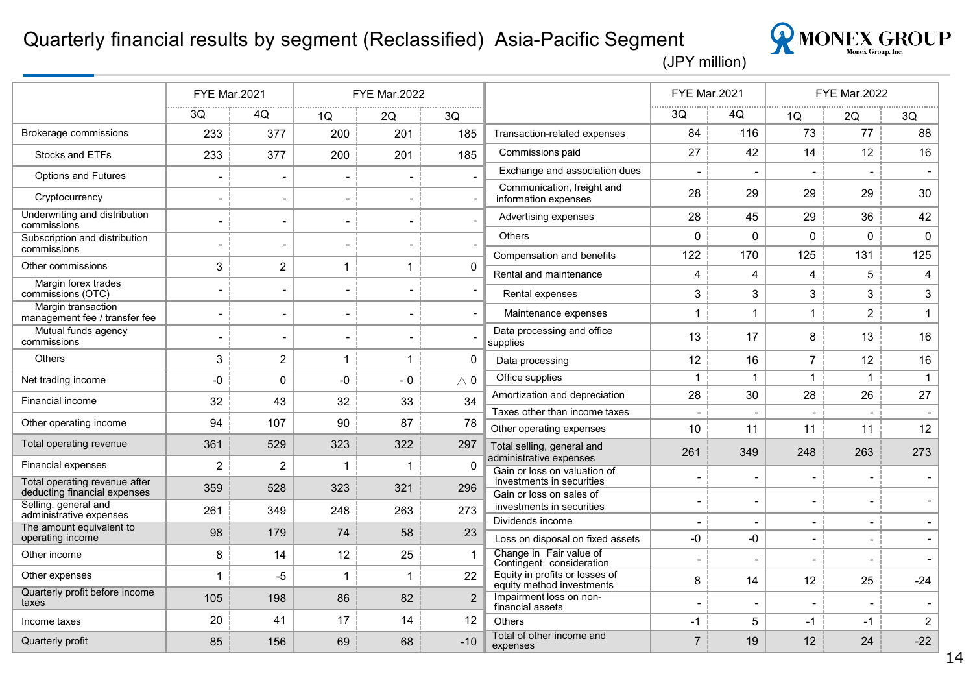#### Quarterly financial results by segment (Reclassified) Asia-Pacific Segment



|                                                      | <b>FYE Mar.2021</b>      |                |                          | <b>FYE Mar.2022</b>      |                          |                                                             | <b>FYE Mar.2021</b> |              | <b>FYE Mar.2022</b>      |                          |                |
|------------------------------------------------------|--------------------------|----------------|--------------------------|--------------------------|--------------------------|-------------------------------------------------------------|---------------------|--------------|--------------------------|--------------------------|----------------|
|                                                      | 3Q                       | 4Q             | 1Q                       | 2Q                       | 3Q                       |                                                             | 3Q                  | 4Q           | 1Q                       | 2Q                       | 3Q             |
| <b>Brokerage commissions</b>                         | 233                      | 377            | 200                      | 201                      | 185                      | Transaction-related expenses                                | 84                  | 116          | 73                       | 77                       | 88             |
| Stocks and ETFs                                      | 233                      | 377            | 200                      | 201                      | 185                      | Commissions paid                                            | 27                  | 42           | 14                       | 12                       | 16             |
| <b>Options and Futures</b>                           | $\overline{\phantom{0}}$ |                | $\overline{\phantom{0}}$ |                          | $\overline{a}$           | Exchange and association dues                               |                     |              |                          |                          |                |
| Cryptocurrency                                       | $\overline{\phantom{a}}$ |                | $\overline{\phantom{a}}$ | $\overline{\phantom{a}}$ |                          | Communication, freight and<br>information expenses          | 28                  | 29           | 29                       | 29                       | 30             |
| Underwriting and distribution<br>commissions         | $\overline{a}$           |                | $\overline{\phantom{0}}$ | $\blacksquare$           |                          | Advertising expenses                                        | 28                  | 45           | 29                       | 36                       | 42             |
| Subscription and distribution<br>commissions         | $\overline{\phantom{0}}$ |                | $\overline{\phantom{a}}$ | $\qquad \qquad$          | $\overline{a}$           | Others                                                      | $\Omega$            | $\Omega$     | 0                        | $\Omega$                 | $\mathbf 0$    |
| Other commissions                                    | 3                        | $\overline{c}$ | $\mathbf 1$              | 1                        | 0                        | Compensation and benefits                                   | 122                 | 170          | 125                      | 131                      | 125            |
| Margin forex trades                                  |                          |                |                          |                          |                          | Rental and maintenance                                      | 4                   | 4            | 4                        | 5                        | 4              |
| commissions (OTC)                                    | $\overline{\phantom{a}}$ |                | $\overline{\phantom{0}}$ | $\qquad \qquad$          | $\overline{\phantom{0}}$ | Rental expenses                                             | 3                   | 3            | 3                        | 3                        | 3              |
| Margin transaction<br>management fee / transfer fee  | $\overline{\phantom{a}}$ |                | $\overline{\phantom{0}}$ |                          | $\blacksquare$           | Maintenance expenses                                        | 1                   | $\mathbf{1}$ | $\mathbf{1}$             | $\overline{2}$           | $\mathbf{1}$   |
| Mutual funds agency<br>commissions                   | $\overline{\phantom{0}}$ |                | $\overline{a}$           |                          |                          | Data processing and office<br>supplies                      | 13                  | 17           | 8                        | 13                       | 16             |
| <b>Others</b>                                        | 3                        | $\overline{c}$ | $\mathbf{1}$             | 1                        | 0                        | Data processing                                             | 12                  | 16           | $\overline{7}$           | 12                       | 16             |
| Net trading income                                   | -0                       | $\mathbf{0}$   | $-0$                     | $-0$                     | $\triangle$ 0            | Office supplies                                             | $\mathbf{1}$        | $\mathbf{1}$ | $\mathbf{1}$             | $\mathbf{1}$             | $\mathbf{1}$   |
| Financial income                                     | 32                       | 43             | 32                       | 33                       | 34                       | Amortization and depreciation                               | 28                  | 30           | 28                       | 26                       | 27             |
| Other operating income                               | 94                       | 107            | 90                       | 87                       | 78                       | Taxes other than income taxes                               |                     |              |                          |                          |                |
| Total operating revenue                              | 361                      | 529            | 323                      | 322                      | 297                      | Other operating expenses<br>Total selling, general and      | 10                  | 11           | 11                       | 11                       | 12             |
| <b>Financial expenses</b>                            | $\overline{2}$           | $\overline{c}$ | 1                        | 1                        | 0                        | administrative expenses                                     | 261                 | 349          | 248                      | 263                      | 273            |
| Total operating revenue after                        | 359                      | 528            | 323                      | 321                      | 296                      | Gain or loss on valuation of<br>investments in securities   |                     |              | $\overline{\phantom{a}}$ |                          |                |
| deducting financial expenses<br>Selling, general and |                          |                |                          |                          |                          | Gain or loss on sales of<br>investments in securities       |                     |              | $\overline{\phantom{a}}$ |                          |                |
| administrative expenses                              | 261                      | 349            | 248                      | 263                      | 273                      | Dividends income                                            |                     |              | $\overline{\phantom{a}}$ | $\overline{\phantom{a}}$ |                |
| The amount equivalent to<br>operating income         | 98                       | 179            | 74                       | 58                       | 23                       | Loss on disposal on fixed assets                            | $-0$                | -0           | $\blacksquare$           | $\blacksquare$           |                |
| Other income                                         | 8                        | 14             | 12                       | 25                       | 1                        | Change in Fair value of<br>Contingent consideration         |                     |              | $\blacksquare$           |                          |                |
| Other expenses                                       | $\mathbf 1$              | $-5$           | 1                        | $\mathbf 1$              | 22                       | Equity in profits or losses of<br>equity method investments | 8                   | 14           | 12                       | 25                       | $-24$          |
| Quarterly profit before income<br>taxes              | 105                      | 198            | 86                       | 82                       | $\overline{2}$           | Impairment loss on non-<br>financial assets                 |                     |              | $\overline{\phantom{a}}$ |                          |                |
| Income taxes                                         | 20                       | 41             | 17                       | 14                       | 12                       | <b>Others</b>                                               | $-1$                | 5            | -1                       | $-1$                     | $\overline{2}$ |
| Quarterly profit                                     | 85                       | 156            | 69                       | 68                       | $-10$                    | Total of other income and<br>expenses                       | $\overline{7}$      | 19           | 12                       | 24                       | $-22$          |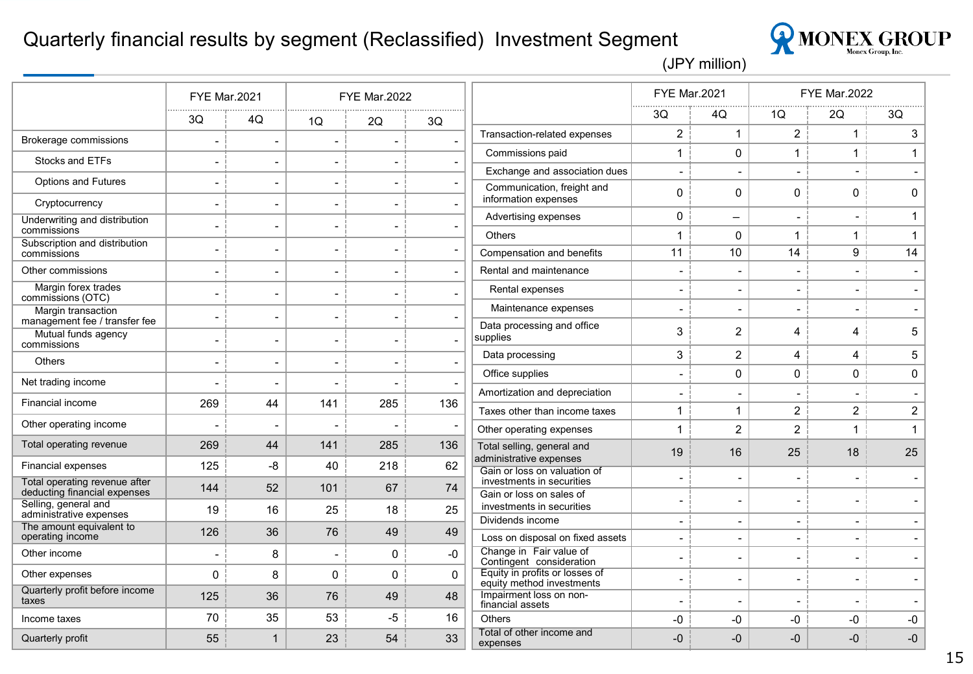#### Quarterly financial results by segment (Reclassified) Investment Segment



|                                                               | <b>FYE Mar.2021</b>      |                          |                          | <b>FYE Mar.2022</b>      |                          |                                                             | <b>FYE Mar.2021</b>      |                          |                              | <b>FYE Mar.2022</b>      |                          |
|---------------------------------------------------------------|--------------------------|--------------------------|--------------------------|--------------------------|--------------------------|-------------------------------------------------------------|--------------------------|--------------------------|------------------------------|--------------------------|--------------------------|
|                                                               | 3Q                       | 4Q                       | 1Q                       | 2Q                       | 3Q                       |                                                             | 3Q                       | 4Q                       | 1Q                           | 2Q                       | 3Q                       |
| Brokerage commissions                                         | $\overline{a}$           | $\blacksquare$           |                          |                          | $\overline{\phantom{a}}$ | Transaction-related expenses                                | $\overline{c}$           | 1                        | $\overline{a}$               | $\mathbf{1}$             | $\mathfrak{S}$           |
| Stocks and ETFs                                               | $\overline{\phantom{a}}$ | $\blacksquare$           | $\overline{\phantom{a}}$ | $\overline{\phantom{a}}$ | $\overline{\phantom{a}}$ | Commissions paid                                            | $\mathbf{1}$             | $\Omega$                 | $\mathbf{1}$                 | $\mathbf{1}$             | $\mathbf{1}$             |
|                                                               |                          |                          |                          |                          |                          | Exchange and association dues                               | $\blacksquare$           | $\overline{a}$           | $\overline{a}$               | $\overline{\phantom{0}}$ |                          |
| <b>Options and Futures</b>                                    | $\overline{a}$           | $\overline{\phantom{0}}$ | $\overline{\phantom{a}}$ |                          | $\blacksquare$           | Communication, freight and<br>information expenses          | $\mathbf 0$              | 0                        | $\mathbf 0$                  | $\mathbf 0$              | $\pmb{0}$                |
| Cryptocurrency                                                | $\overline{a}$           | $\overline{\phantom{a}}$ | $\blacksquare$           | $\blacksquare$           | $\overline{\phantom{a}}$ | Advertising expenses                                        | 0                        | $\overline{\phantom{0}}$ | $\overline{a}$               |                          | $\mathbf{1}$             |
| Underwriting and distribution<br>commissions                  | $\overline{a}$           | $\blacksquare$           | $\overline{\phantom{a}}$ | $\overline{\phantom{0}}$ | $\overline{\phantom{a}}$ | Others                                                      | $\mathbf{1}$             | 0                        | 1                            | $\mathbf{1}$             | $\mathbf{1}$             |
| Subscription and distribution<br>commissions                  | $\overline{a}$           | $\blacksquare$           | $\overline{\phantom{a}}$ | $\overline{\phantom{a}}$ | $\overline{\phantom{a}}$ | Compensation and benefits                                   | 11                       | 10                       | 14                           | 9                        | 14                       |
| Other commissions                                             | $\overline{\phantom{0}}$ | $\sim$                   | $\blacksquare$           |                          | $\overline{\phantom{a}}$ | Rental and maintenance                                      | $\overline{\phantom{a}}$ |                          |                              |                          |                          |
| Margin forex trades<br>commissions (OTC)                      | $\overline{\phantom{a}}$ | $\blacksquare$           | $\overline{\phantom{a}}$ |                          | $\overline{\phantom{a}}$ | Rental expenses                                             | $\overline{\phantom{a}}$ |                          | $\blacksquare$               | $\overline{\phantom{0}}$ |                          |
| Margin transaction                                            | $\overline{\phantom{a}}$ | $\blacksquare$           | $\overline{\phantom{a}}$ | $\overline{\phantom{a}}$ | $\overline{\phantom{a}}$ | Maintenance expenses                                        | $\overline{\phantom{a}}$ |                          | $\overline{a}$               |                          |                          |
| management fee / transfer fee<br>Mutual funds agency          | $\overline{a}$           | $\overline{\phantom{a}}$ | $\overline{\phantom{a}}$ | $\overline{\phantom{a}}$ | $\overline{\phantom{a}}$ | Data processing and office<br>supplies                      | 3                        | 2                        | 4                            | 4                        | 5                        |
| commissions                                                   |                          |                          |                          |                          |                          | Data processing                                             | 3                        | $\overline{c}$           | 4                            | 4                        | $\overline{5}$           |
| <b>Others</b>                                                 | $\overline{\phantom{a}}$ | $\blacksquare$           | $\overline{\phantom{a}}$ | $\blacksquare$           | $\overline{a}$           | Office supplies                                             | $\overline{\phantom{a}}$ | 0                        | 0                            | $\Omega$                 | $\mathbf 0$              |
| Net trading income                                            | $\blacksquare$           |                          | $\overline{\phantom{0}}$ |                          | $\blacksquare$           | Amortization and depreciation                               | $\blacksquare$           | $\overline{\phantom{a}}$ | $\qquad \qquad \blacksquare$ | $\overline{\phantom{a}}$ | $\blacksquare$           |
| Financial income                                              | 269                      | 44                       | 141                      | 285                      | 136                      | Taxes other than income taxes                               | $\mathbf{1}$             | 1                        | $\overline{c}$               | $\overline{2}$           | $\overline{2}$           |
| Other operating income                                        | ۰                        | $\overline{\phantom{a}}$ | $\overline{\phantom{0}}$ | $\overline{\phantom{a}}$ |                          | Other operating expenses                                    | $\mathbf{1}$             | $\overline{c}$           | $\overline{c}$               | $\mathbf{1}$             | $\mathbf{1}$             |
| Total operating revenue                                       | 269                      | 44                       | 141                      | 285                      | 136                      | Total selling, general and                                  | 19                       | 16                       | 25                           | 18                       | 25                       |
| <b>Financial expenses</b>                                     | 125                      | -8                       | 40                       | 218                      | 62                       | administrative expenses<br>Gain or loss on valuation of     |                          |                          |                              |                          |                          |
| Total operating revenue after<br>deducting financial expenses | 144                      | 52                       | 101                      | 67                       | 74                       | investments in securities<br>Gain or loss on sales of       | $\overline{\phantom{a}}$ | $\overline{\phantom{a}}$ | -                            | $\overline{\phantom{a}}$ |                          |
| Selling, general and<br>administrative expenses               | 19                       | 16                       | 25                       | 18                       | 25                       | investments in securities                                   | $\blacksquare$           | $\overline{\phantom{a}}$ | $\overline{a}$               | $\blacksquare$           | $\overline{\phantom{a}}$ |
| The amount equivalent to<br>operating income                  | 126                      | 36                       | 76                       | 49                       | 49                       | Dividends income                                            | $\blacksquare$           | $\overline{\phantom{0}}$ | $\overline{\phantom{0}}$     | $\overline{\phantom{a}}$ |                          |
| Other income                                                  | $\overline{\phantom{a}}$ | 8                        | $\blacksquare$           | 0                        | $-0$                     | Loss on disposal on fixed assets<br>Change in Fair value of | $\overline{\phantom{a}}$ | $\blacksquare$           | $\blacksquare$               | $\blacksquare$           | $\blacksquare$           |
|                                                               |                          |                          |                          |                          |                          | Contingent consideration<br>Equity in profits or losses of  | $\blacksquare$           | $\overline{\phantom{0}}$ | -                            | $\overline{\phantom{a}}$ | $\blacksquare$           |
| Other expenses                                                | 0                        | 8                        | 0                        | 0                        | $\mathbf 0$              | equity method investments                                   | $\overline{\phantom{a}}$ |                          | $\overline{\phantom{a}}$     | $\overline{\phantom{0}}$ |                          |
| Quarterly profit before income<br>taxes                       | 125                      | 36                       | 76                       | 49                       | 48                       | Impairment loss on non-<br>financial assets                 | $\overline{\phantom{a}}$ | $\blacksquare$           | -                            | $\blacksquare$           |                          |
| Income taxes                                                  | 70                       | 35                       | 53                       | $-5$                     | 16                       | <b>Others</b>                                               | -0                       | $-0$                     | -0                           | -0                       | $-0$                     |
| Quarterly profit                                              | 55                       | $\mathbf 1$              | 23                       | 54                       | 33                       | Total of other income and<br>expenses                       | -0                       | $-0$                     | -0                           | -0                       | $-0$                     |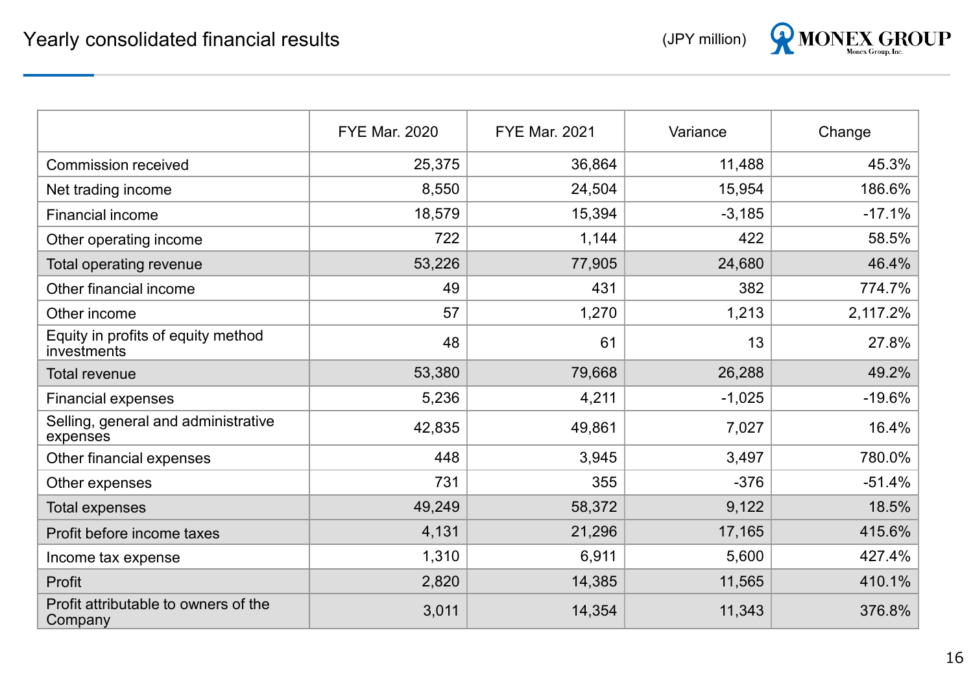

|                                                   | <b>FYE Mar. 2020</b> | <b>FYE Mar. 2021</b> | Variance | Change   |
|---------------------------------------------------|----------------------|----------------------|----------|----------|
| <b>Commission received</b>                        | 25,375               | 36,864               | 11,488   | 45.3%    |
| Net trading income                                | 8,550                | 24,504               | 15,954   | 186.6%   |
| <b>Financial income</b>                           | 18,579               | 15,394               | $-3,185$ | $-17.1%$ |
| Other operating income                            | 722                  | 1,144                | 422      | 58.5%    |
| Total operating revenue                           | 53,226               | 77,905               | 24,680   | 46.4%    |
| Other financial income                            | 49                   | 431                  | 382      | 774.7%   |
| Other income                                      | 57                   | 1,270                | 1,213    | 2,117.2% |
| Equity in profits of equity method<br>investments | 48                   | 61                   | 13       | 27.8%    |
| <b>Total revenue</b>                              | 53,380               | 79,668               | 26,288   | 49.2%    |
| <b>Financial expenses</b>                         | 5,236                | 4,211                | $-1,025$ | $-19.6%$ |
| Selling, general and administrative<br>expenses   | 42,835               | 49,861               | 7,027    | 16.4%    |
| Other financial expenses                          | 448                  | 3,945                | 3,497    | 780.0%   |
| Other expenses                                    | 731                  | 355                  | $-376$   | $-51.4%$ |
| <b>Total expenses</b>                             | 49,249               | 58,372               | 9,122    | 18.5%    |
| Profit before income taxes                        | 4,131                | 21,296               | 17,165   | 415.6%   |
| Income tax expense                                | 1,310                | 6,911                | 5,600    | 427.4%   |
| Profit                                            | 2,820                | 14,385               | 11,565   | 410.1%   |
| Profit attributable to owners of the<br>Company   | 3,011                | 14,354               | 11,343   | 376.8%   |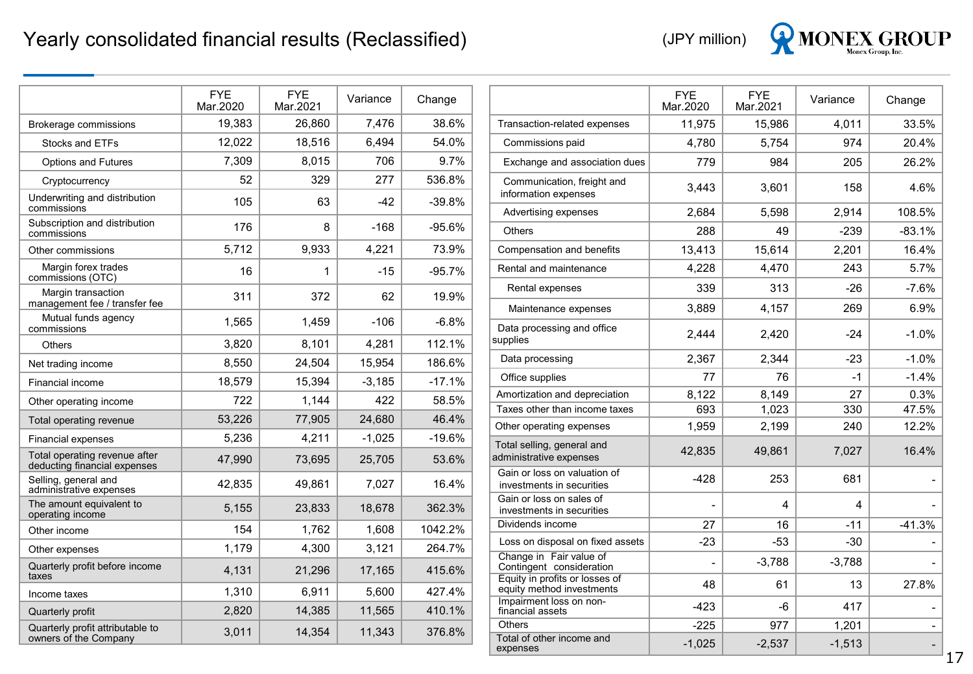

|                                                               | <b>FYE</b><br>Mar.2020 | <b>FYE</b><br>Mar.2021 | Variance | Change   |  |
|---------------------------------------------------------------|------------------------|------------------------|----------|----------|--|
| <b>Brokerage commissions</b>                                  | 19,383                 | 26,860                 | 7,476    | 38.6%    |  |
| Stocks and ETFs                                               | 12,022                 | 18,516                 | 6,494    | 54.0%    |  |
| <b>Options and Futures</b>                                    | 7,309                  | 8,015                  | 706      | 9.7%     |  |
| Cryptocurrency                                                | 52                     | 329                    | 277      | 536.8%   |  |
| Underwriting and distribution<br>commissions                  | 105                    | 63                     | $-42$    | $-39.8%$ |  |
| Subscription and distribution<br>commissions                  | 176                    | 8                      | $-168$   | $-95.6%$ |  |
| Other commissions                                             | 5,712                  | 9,933                  | 4,221    | 73.9%    |  |
| Margin forex trades<br>commissions (OTC)                      | 16                     | 1                      | $-15$    | $-95.7%$ |  |
| Margin transaction<br>management fee / transfer fee           | 311                    | 372                    | 62       | 19.9%    |  |
| Mutual funds agency<br>commissions                            | 1,565                  | 1,459                  | $-106$   | $-6.8%$  |  |
| <b>Others</b>                                                 | 3,820                  | 8,101                  | 4,281    | 112.1%   |  |
| Net trading income                                            | 8,550                  | 24,504                 | 15,954   | 186.6%   |  |
| <b>Financial income</b>                                       | 18,579                 | 15,394                 | $-3,185$ | $-17.1%$ |  |
| Other operating income                                        | 722                    | 1,144                  | 422      | 58.5%    |  |
| Total operating revenue                                       | 53,226                 | 77,905                 | 24,680   | 46.4%    |  |
| <b>Financial expenses</b>                                     | 5,236                  | 4,211                  | $-1,025$ | $-19.6%$ |  |
| Total operating revenue after<br>deducting financial expenses | 47,990                 | 73,695                 | 25,705   | 53.6%    |  |
| Selling, general and<br>administrative expenses               | 42,835                 | 49,861                 | 7,027    | 16.4%    |  |
| The amount equivalent to<br>operating income                  | 5,155                  | 23,833                 | 18,678   | 362.3%   |  |
| Other income                                                  | 154                    | 1,762                  | 1,608    | 1042.2%  |  |
| Other expenses                                                | 1,179                  | 4,300                  | 3,121    | 264.7%   |  |
| Quarterly profit before income<br>taxes                       | 4,131                  | 21,296                 | 17,165   | 415.6%   |  |
| Income taxes                                                  | 1,310                  | 6,911                  | 5,600    | 427.4%   |  |
| Quarterly profit                                              | 2,820                  | 14,385                 | 11,565   | 410.1%   |  |
| Quarterly profit attributable to<br>owners of the Company     | 3,011                  | 14,354                 | 11,343   | 376.8%   |  |

|                                                             | <b>FYE</b><br>Mar.2020 | <b>FYE</b><br>Mar.2021 | Variance | Change   |
|-------------------------------------------------------------|------------------------|------------------------|----------|----------|
| Transaction-related expenses                                | 11,975                 | 15,986                 | 4,011    | 33.5%    |
| Commissions paid                                            | 4,780                  | 5,754                  | 974      | 20.4%    |
| Exchange and association dues                               | 779                    | 984                    | 205      | 26.2%    |
| Communication, freight and<br>information expenses          | 3,443                  | 3,601                  | 158      | 4.6%     |
| Advertising expenses                                        | 2,684                  | 5,598                  | 2,914    | 108.5%   |
| <b>Others</b>                                               | 288                    | 49                     | $-239$   | $-83.1%$ |
| Compensation and benefits                                   | 13,413                 | 15,614                 | 2,201    | 16.4%    |
| Rental and maintenance                                      | 4,228                  | 4,470                  | 243      | 5.7%     |
| Rental expenses                                             | 339                    | 313                    | $-26$    | $-7.6%$  |
| Maintenance expenses                                        | 3,889                  | 4,157                  | 269      | 6.9%     |
| Data processing and office<br>supplies                      | 2,444                  | 2,420                  | $-24$    | $-1.0%$  |
| Data processing                                             | 2,367                  | 2,344                  | $-23$    | $-1.0%$  |
| Office supplies                                             | 77                     | 76                     | $-1$     | $-1.4%$  |
| Amortization and depreciation                               | 8,122                  | 8,149                  | 27       | 0.3%     |
| Taxes other than income taxes                               | 693                    | 1,023                  | 330      | 47.5%    |
| Other operating expenses                                    | 1,959                  | 2,199                  | 240      | 12.2%    |
| Total selling, general and<br>administrative expenses       | 42,835                 | 49,861                 | 7,027    | 16.4%    |
| Gain or loss on valuation of<br>investments in securities   | $-428$                 | 253                    | 681      |          |
| Gain or loss on sales of<br>investments in securities       |                        | 4                      | 4        |          |
| Dividends income                                            | 27                     | 16                     | $-11$    | $-41.3%$ |
| Loss on disposal on fixed assets                            | $-23$                  | $-53$                  | $-30$    |          |
| Change in Fair value of<br>Contingent consideration         | $\overline{a}$         | $-3,788$               | $-3,788$ |          |
| Equity in profits or losses of<br>equity method investments | 48                     | 61                     | 13       | 27.8%    |
| Impairment loss on non-<br>financial assets                 | $-423$                 | -6                     | 417      |          |
| <b>Others</b>                                               | $-225$                 | 977                    | 1,201    |          |
| Total of other income and<br>expenses                       | $-1,025$               | $-2,537$               | $-1,513$ |          |
|                                                             |                        |                        |          |          |

 $17$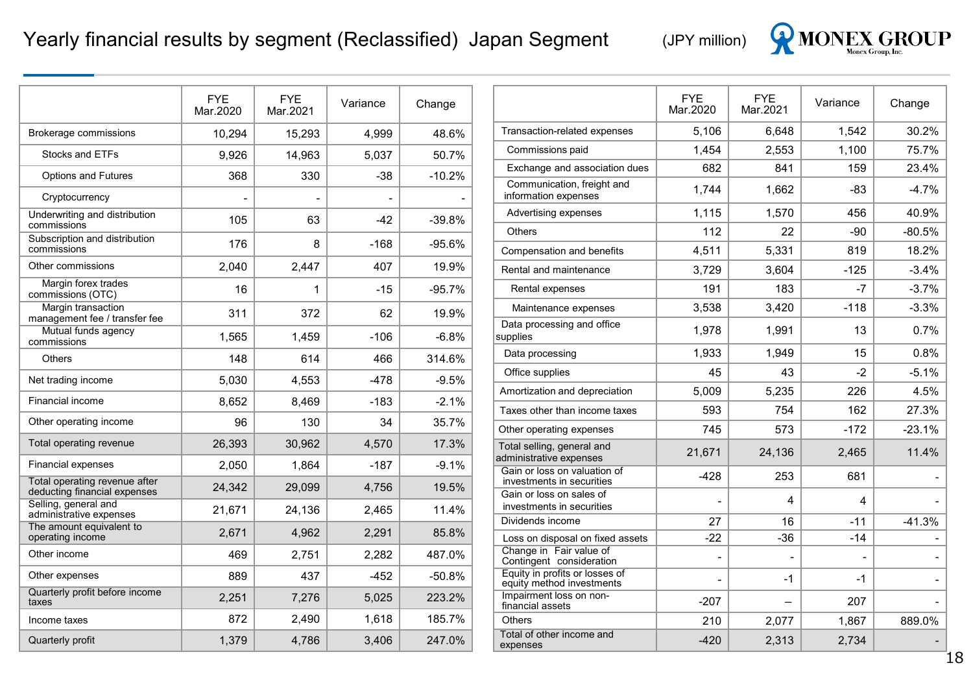#### Yearly financial results by segment (Reclassified) Japan Segment (JPY million)



|                                                               | <b>FYE</b><br>Mar.2020 | <b>FYE</b><br>Mar.2021 | Variance | Change   |
|---------------------------------------------------------------|------------------------|------------------------|----------|----------|
| Brokerage commissions                                         | 10,294                 | 15,293                 | 4,999    | 48.6%    |
| Stocks and ETFs                                               | 9,926                  | 14,963                 | 5,037    | 50.7%    |
| <b>Options and Futures</b>                                    | 368                    | 330                    | -38      | $-10.2%$ |
| Cryptocurrency                                                |                        |                        |          |          |
| Underwriting and distribution<br>commissions                  | 105                    | 63                     | $-42$    | $-39.8%$ |
| Subscription and distribution<br>commissions                  | 176                    | 8                      | $-168$   | $-95.6%$ |
| Other commissions                                             | 2,040                  | 2,447                  | 407      | 19.9%    |
| Margin forex trades<br>commissions (OTC)                      | 16                     | 1                      | $-15$    | $-95.7%$ |
| Margin transaction<br>management fee / transfer fee           | 311                    | 372                    | 62       | 19.9%    |
| Mutual funds agency<br>commissions                            | 1,565                  | 1,459                  | $-106$   | $-6.8%$  |
| Others                                                        | 148                    | 614                    | 466      | 314.6%   |
| Net trading income                                            | 5,030                  | 4,553                  | -478     | $-9.5%$  |
| Financial income                                              | 8,652                  | 8,469                  | $-183$   | $-2.1%$  |
| Other operating income                                        | 96                     | 130                    | 34       | 35.7%    |
| Total operating revenue                                       | 26,393                 | 30,962                 | 4,570    | 17.3%    |
| <b>Financial expenses</b>                                     | 2,050                  | 1,864                  | $-187$   | $-9.1%$  |
| Total operating revenue after<br>deducting financial expenses | 24,342                 | 29,099                 | 4,756    | 19.5%    |
| Selling, general and<br>administrative expenses               | 21,671                 | 24,136                 | 2.465    | 11.4%    |
| The amount equivalent to<br>operating income                  | 2,671                  | 4,962                  | 2,291    | 85.8%    |
| Other income                                                  | 469                    | 2,751                  | 2,282    | 487.0%   |
| Other expenses                                                | 889                    | 437                    | -452     | -50.8%   |
| Quarterly profit before income<br>taxes                       | 2,251                  | 7,276                  | 5,025    | 223.2%   |
| Income taxes                                                  | 872                    | 2,490                  | 1,618    | 185.7%   |
| Quarterly profit                                              | 1,379                  | 4,786                  | 3,406    | 247.0%   |

|                                                             | <b>FYE</b><br>Mar.2020 | <b>FYE</b><br>Mar.2021 | Variance | Change   |
|-------------------------------------------------------------|------------------------|------------------------|----------|----------|
| Transaction-related expenses                                | 5,106                  | 6,648                  | 1,542    | 30.2%    |
| Commissions paid                                            | 1,454                  | 2,553                  | 1,100    | 75.7%    |
| Exchange and association dues                               | 682                    | 841                    | 159      | 23.4%    |
| Communication, freight and<br>information expenses          | 1.744                  | 1,662                  | -83      | $-4.7%$  |
| Advertising expenses                                        | 1,115                  | 1,570                  | 456      | 40.9%    |
| <b>Others</b>                                               | 112                    | 22                     | -90      | $-80.5%$ |
| Compensation and benefits                                   | 4,511                  | 5,331                  | 819      | 18.2%    |
| Rental and maintenance                                      | 3,729                  | 3,604                  | -125     | $-3.4%$  |
| Rental expenses                                             | 191                    | 183                    | -7       | $-3.7%$  |
| Maintenance expenses                                        | 3,538                  | 3,420                  | $-118$   | $-3.3\%$ |
| Data processing and office<br>supplies                      | 1,978                  | 1,991                  | 13       | $0.7\%$  |
| Data processing                                             | 1,933                  | 1,949                  | 15       | $0.8\%$  |
| Office supplies                                             | 45                     | 43                     | -2       | $-5.1%$  |
| Amortization and depreciation                               | 5,009                  | 5,235                  | 226      | 4.5%     |
| Taxes other than income taxes                               | 593                    | 754                    | 162      | 27.3%    |
| Other operating expenses                                    | 745                    | 573                    | $-172$   | $-23.1%$ |
| Total selling, general and<br>administrative expenses       | 21,671                 | 24,136                 | 2,465    | 11.4%    |
| Gain or loss on valuation of<br>investments in securities   | -428                   | 253                    | 681      |          |
| Gain or loss on sales of<br>investments in securities       |                        | 4                      | 4        |          |
| Dividends income                                            | 27                     | 16                     | $-11$    | $-41.3%$ |
| Loss on disposal on fixed assets                            | $-22$                  | $-36$                  | $-14$    |          |
| Change in Fair value of<br>Contingent consideration         |                        |                        |          |          |
| Equity in profits or losses of<br>equity method investments |                        | -1                     | -1       |          |
| Impairment loss on non-<br>financial assets                 | $-207$                 |                        | 207      |          |
| <b>Others</b>                                               | 210                    | 2,077                  | 1,867    | 889.0%   |
| Total of other income and<br>expenses                       | $-420$                 | 2,313                  | 2,734    |          |
|                                                             |                        |                        |          |          |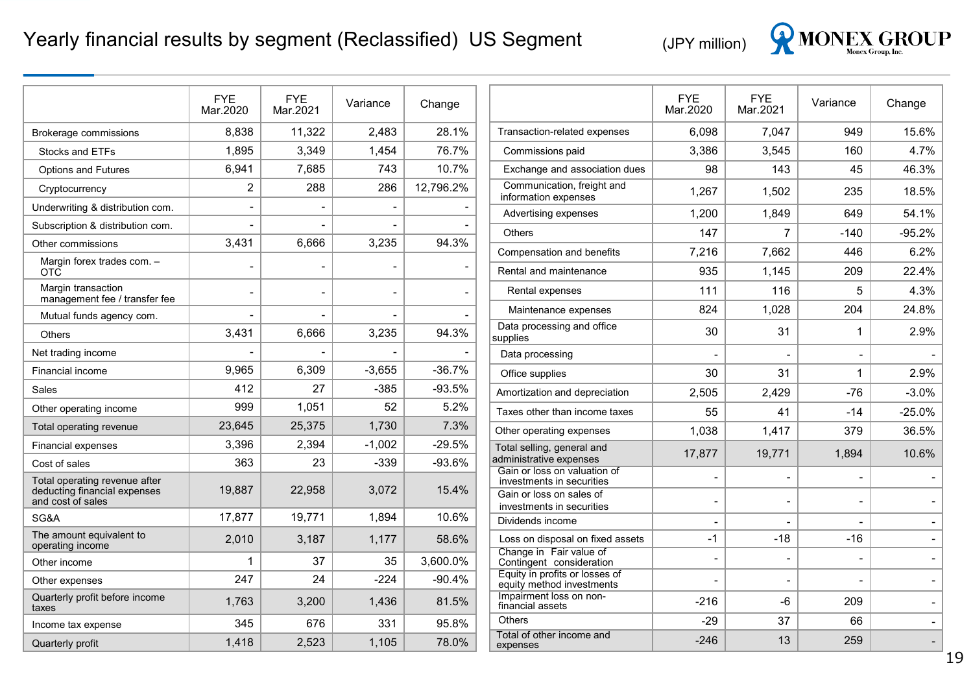### Yearly financial results by segment (Reclassified) US Segment (JPY million)



|                                                   | <b>FYE</b><br>Mar.2020 | <b>FYE</b><br>Mar.2021   | Variance       | Change    |                                                             | <b>FYE</b><br>Mar.2020   | <b>FYE</b><br>Mar.2021 | Variance       | Change                   |
|---------------------------------------------------|------------------------|--------------------------|----------------|-----------|-------------------------------------------------------------|--------------------------|------------------------|----------------|--------------------------|
| Brokerage commissions                             | 8.838                  | 11,322                   | 2.483          | 28.1%     | Transaction-related expenses                                | 6,098                    | 7,047                  | 949            | 15.6%                    |
| Stocks and ETFs                                   | 1,895                  | 3,349                    | 1,454          | 76.7%     | Commissions paid                                            | 3,386                    | 3.545                  | 160            | 4.7%                     |
| <b>Options and Futures</b>                        | 6,941                  | 7,685                    | 743            | 10.7%     | Exchange and association dues                               | 98                       | 143                    | 45             | 46.3%                    |
| Cryptocurrency                                    | $\overline{c}$         | 288                      | 286            | 12,796.2% | Communication, freight and<br>information expenses          | 1,267                    | 1,502                  | 235            | 18.5%                    |
| Underwriting & distribution com.                  |                        | $\overline{\phantom{a}}$ | $\blacksquare$ |           | Advertising expenses                                        | 1,200                    | 1,849                  | 649            | 54.1%                    |
| Subscription & distribution com.                  |                        |                          |                |           | Others                                                      | 147                      | $\overline{7}$         | $-140$         | $-95.2%$                 |
| Other commissions                                 | 3,431                  | 6.666                    | 3,235          | 94.3%     | Compensation and benefits                                   | 7,216                    | 7,662                  | 446            | 6.2%                     |
| Margin forex trades com. -<br><b>OTC</b>          |                        | $\overline{a}$           |                |           | Rental and maintenance                                      | 935                      | 1,145                  | 209            | 22.4%                    |
| Margin transaction                                |                        | $\overline{\phantom{0}}$ | $\blacksquare$ |           | Rental expenses                                             | 111                      | 116                    | 5              | 4.3%                     |
| management fee / transfer fee                     |                        | $\overline{\phantom{a}}$ |                |           | Maintenance expenses                                        | 824                      | 1,028                  | 204            | 24.8%                    |
| Mutual funds agency com.<br><b>Others</b>         | 3,431                  | 6,666                    | 3,235          | 94.3%     | Data processing and office<br>supplies                      | 30                       | 31                     | $\overline{1}$ | 2.9%                     |
| Net trading income                                |                        |                          |                |           | Data processing                                             |                          |                        |                |                          |
| Financial income                                  | 9,965                  | 6,309                    | $-3,655$       | $-36.7%$  | Office supplies                                             | 30                       | 31                     | $\overline{1}$ | 2.9%                     |
| Sales                                             | 412                    | 27                       | $-385$         | $-93.5%$  | Amortization and depreciation                               | 2,505                    | 2,429                  | $-76$          | $-3.0%$                  |
| Other operating income                            | 999                    | 1,051                    | 52             | 5.2%      | Taxes other than income taxes                               | 55                       | 41                     | $-14$          | $-25.0%$                 |
| Total operating revenue                           | 23,645                 | 25,375                   | 1,730          | 7.3%      | Other operating expenses                                    | 1,038                    | 1,417                  | 379            | 36.5%                    |
| <b>Financial expenses</b>                         | 3,396                  | 2,394                    | $-1,002$       | $-29.5%$  | Total selling, general and                                  |                          |                        |                | 10.6%                    |
| Cost of sales                                     | 363                    | 23                       | $-339$         | $-93.6%$  | administrative expenses<br>Gain or loss on valuation of     | 17,877                   | 19,771                 | 1,894          |                          |
| Total operating revenue after                     | 19,887                 | 22,958                   | 3,072          | 15.4%     | investments in securities                                   |                          |                        |                |                          |
| deducting financial expenses<br>and cost of sales |                        |                          |                |           | Gain or loss on sales of<br>investments in securities       |                          | $\blacksquare$         |                |                          |
| SG&A                                              | 17,877                 | 19,771                   | 1,894          | 10.6%     | Dividends income                                            | $\overline{\phantom{a}}$ |                        |                |                          |
| The amount equivalent to<br>operating income      | 2,010                  | 3,187                    | 1,177          | 58.6%     | Loss on disposal on fixed assets                            | -1                       | $-18$                  | $-16$          |                          |
| Other income                                      | 1                      | 37                       | 35             | 3,600.0%  | Change in Fair value of<br>Contingent consideration         | $\overline{\phantom{a}}$ | $\blacksquare$         |                |                          |
| Other expenses                                    | 247                    | 24                       | $-224$         | $-90.4%$  | Equity in profits or losses of<br>equity method investments |                          | $\qquad \qquad$        |                |                          |
| Quarterly profit before income<br>taxes           | 1,763                  | 3,200                    | 1,436          | 81.5%     | Impairment loss on non-<br>financial assets                 | $-216$                   | -6                     | 209            |                          |
| Income tax expense                                | 345                    | 676                      | 331            | 95.8%     | <b>Others</b>                                               | $-29$                    | 37                     | 66             | $\overline{\phantom{a}}$ |
| Quarterly profit                                  | 1,418                  | 2,523                    | 1,105          | 78.0%     | Total of other income and<br>expenses                       | $-246$                   | 13                     | 259            |                          |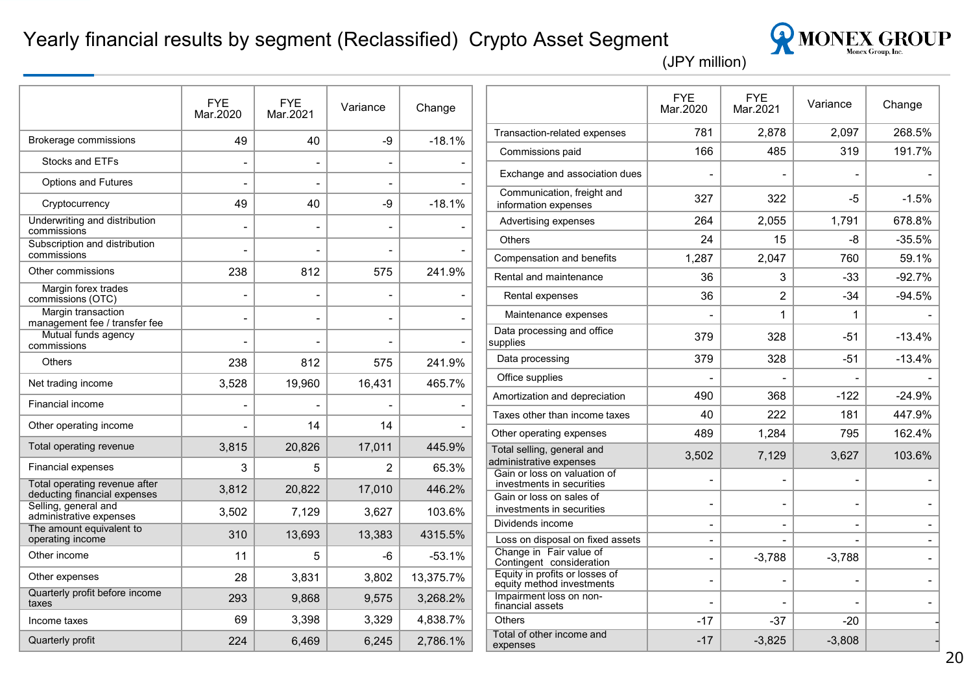#### Yearly financial results by segment (Reclassified) Crypto Asset Segment



|                                                               | <b>FYE</b><br>Mar.2020 | FYE<br>Mar.2021 | Variance | Change    |
|---------------------------------------------------------------|------------------------|-----------------|----------|-----------|
| Brokerage commissions                                         | 49                     | 40              | -9       | $-18.1%$  |
| <b>Stocks and ETFs</b>                                        |                        |                 |          |           |
| <b>Options and Futures</b>                                    |                        |                 |          |           |
| Cryptocurrency                                                | 49                     | 40              | -9       | $-18.1%$  |
| Underwriting and distribution<br>commissions                  |                        |                 |          |           |
| Subscription and distribution<br>commissions                  |                        |                 |          |           |
| Other commissions                                             | 238                    | 812             | 575      | 241.9%    |
| Margin forex trades<br>commissions (OTC)                      |                        |                 |          |           |
| Margin transaction<br>management fee / transfer fee           |                        |                 |          |           |
| Mutual funds agency<br>commissions                            |                        |                 |          |           |
| Others                                                        | 238                    | 812             | 575      | 241.9%    |
| Net trading income                                            | 3,528                  | 19,960          | 16,431   | 465.7%    |
| Financial income                                              |                        |                 |          |           |
| Other operating income                                        |                        | 14              | 14       |           |
| Total operating revenue                                       | 3,815                  | 20,826          | 17,011   | 445.9%    |
| <b>Financial expenses</b>                                     | 3                      | 5               | 2        | 65.3%     |
| Total operating revenue after<br>deducting financial expenses | 3,812                  | 20,822          | 17,010   | 446.2%    |
| Selling, general and<br>administrative expenses               | 3,502                  | 7,129           | 3,627    | 103.6%    |
| The amount equivalent to<br>operating income                  | 310                    | 13,693          | 13,383   | 4315.5%   |
| Other income                                                  | 11                     | 5               | -6       | $-53.1%$  |
| Other expenses                                                | 28                     | 3,831           | 3,802    | 13,375.7% |
| Quarterly profit before income<br>taxes                       | 293                    | 9,868           | 9,575    | 3,268.2%  |
| Income taxes                                                  | 69                     | 3,398           | 3,329    | 4,838.7%  |
| Quarterly profit                                              | 224                    | 6,469           | 6,245    | 2.786.1%  |

|                                                             | <b>FYE</b><br>Mar.2020 | <b>FYE</b><br>Mar.2021 | Variance | Change   |
|-------------------------------------------------------------|------------------------|------------------------|----------|----------|
| Transaction-related expenses                                | 781                    | 2.878                  | 2.097    | 268.5%   |
| Commissions paid                                            | 166                    | 485                    | 319      | 191.7%   |
| Exchange and association dues                               |                        |                        |          |          |
| Communication, freight and<br>information expenses          | 327                    | 322                    | -5       | $-1.5%$  |
| Advertising expenses                                        | 264                    | 2,055                  | 1,791    | 678.8%   |
| Others                                                      | 24                     | 15                     | -8       | $-35.5%$ |
| Compensation and benefits                                   | 1,287                  | 2,047                  | 760      | 59.1%    |
| Rental and maintenance                                      | 36                     | 3                      | $-33$    | $-92.7%$ |
| Rental expenses                                             | 36                     | 2                      | $-34$    | $-94.5%$ |
| Maintenance expenses                                        |                        | 1                      | 1        |          |
| Data processing and office<br>supplies                      | 379                    | 328                    | $-51$    | $-13.4%$ |
| Data processing                                             | 379                    | 328                    | $-51$    | $-13.4%$ |
| Office supplies                                             |                        |                        |          |          |
| Amortization and depreciation                               | 490                    | 368                    | $-122$   | $-24.9%$ |
| Taxes other than income taxes                               | 40                     | 222                    | 181      | 447.9%   |
| Other operating expenses                                    | 489                    | 1,284                  | 795      | 162.4%   |
| Total selling, general and<br>administrative expenses       | 3,502                  | 7,129                  | 3,627    | 103.6%   |
| Gain or loss on valuation of<br>investments in securities   |                        |                        |          |          |
| Gain or loss on sales of<br>investments in securities       | $\overline{a}$         | -                      |          |          |
| Dividends income                                            |                        |                        |          |          |
| Loss on disposal on fixed assets                            |                        |                        |          |          |
| Change in Fair value of<br>Contingent consideration         | $\overline{a}$         | $-3,788$               | $-3,788$ |          |
| Equity in profits or losses of<br>equity method investments | $\overline{a}$         |                        |          |          |
| Impairment loss on non-<br>financial assets                 |                        |                        |          |          |
| <b>Others</b>                                               | -17                    | -37                    | $-20$    |          |
| Total of other income and<br>expenses                       | $-17$                  | $-3,825$               | $-3,808$ |          |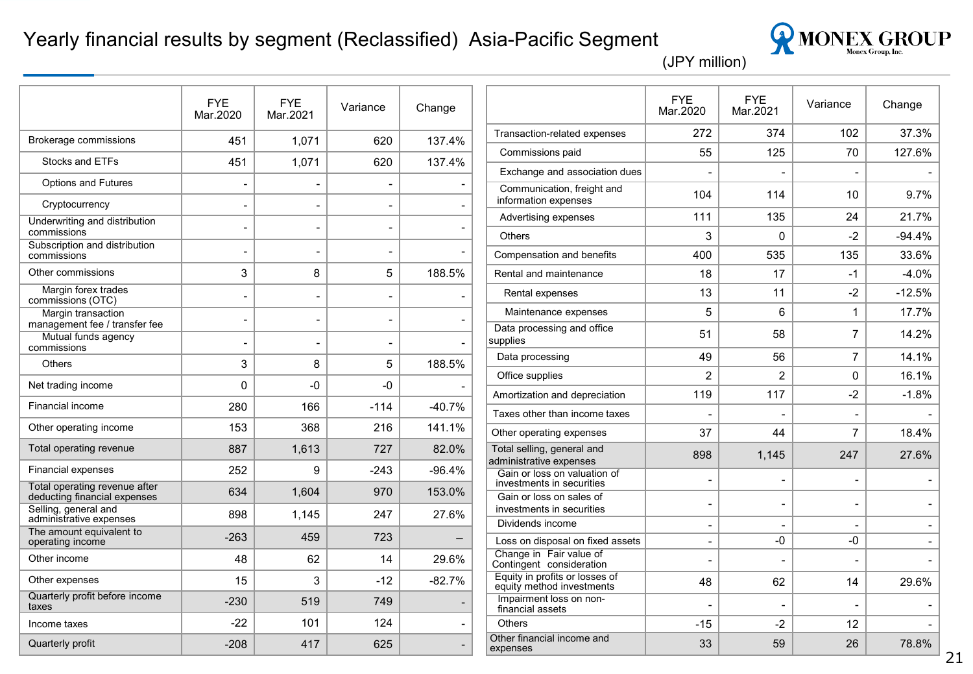#### Yearly financial results by segment (Reclassified) Asia-Pacific Segment



|                                                               | <b>FYE</b><br>Mar.2020 | <b>FYE</b><br>Mar.2021   | Variance                 | Change                   |                                                             | <b>FYE</b><br>Mar.2020   | <b>FYE</b><br>Mar.2021 | Variance                 | Change            |
|---------------------------------------------------------------|------------------------|--------------------------|--------------------------|--------------------------|-------------------------------------------------------------|--------------------------|------------------------|--------------------------|-------------------|
| Brokerage commissions                                         | 451                    | 1,071                    | 620                      | 137.4%                   | Transaction-related expenses                                | 272                      | 374                    | 102                      | 37.3%             |
|                                                               |                        |                          |                          |                          | Commissions paid                                            | 55                       | 125                    | 70                       | 127.6%            |
| Stocks and ETFs                                               | 451                    | 1,071                    | 620                      | 137.4%                   | Exchange and association dues                               |                          |                        |                          |                   |
| <b>Options and Futures</b>                                    |                        |                          |                          |                          | Communication, freight and                                  | 104                      | 114                    | 10                       | 9.7%              |
| Cryptocurrency                                                |                        | $\blacksquare$           | $\overline{\phantom{a}}$ |                          | information expenses                                        |                          |                        |                          |                   |
| Underwriting and distribution<br>commissions                  |                        | $\overline{\phantom{0}}$ | $\overline{\phantom{a}}$ | $\overline{\phantom{a}}$ | Advertising expenses<br><b>Others</b>                       | 111<br>3                 | 135<br>$\Omega$        | 24<br>$-2$               | 21.7%<br>$-94.4%$ |
| Subscription and distribution<br>commissions                  |                        |                          | $\overline{\phantom{a}}$ |                          | Compensation and benefits                                   | 400                      | 535                    | 135                      | 33.6%             |
| Other commissions                                             | 3                      | 8                        | 5                        | 188.5%                   | Rental and maintenance                                      | 18                       | 17                     | $-1$                     | $-4.0%$           |
| Margin forex trades                                           |                        |                          | $\overline{\phantom{0}}$ |                          | Rental expenses                                             | 13                       | 11                     | $-2$                     | $-12.5%$          |
| commissions (OTC)<br>Margin transaction                       |                        |                          |                          |                          | Maintenance expenses                                        | 5                        | 6                      | $\mathbf{1}$             | 17.7%             |
| management fee / transfer fee<br>Mutual funds agency          |                        |                          | $\overline{\phantom{a}}$ |                          | Data processing and office                                  | 51                       | 58                     | $\overline{7}$           | 14.2%             |
| commissions                                                   |                        |                          |                          |                          | supplies<br>Data processing                                 |                          |                        |                          | 14.1%             |
| <b>Others</b>                                                 | 3                      | 8                        | 5                        | 188.5%                   |                                                             | 49                       | 56                     | 7                        |                   |
| Net trading income                                            | $\mathbf{0}$           | -0                       | -0                       |                          | Office supplies                                             | $\overline{2}$           | $\overline{2}$         | 0                        | 16.1%             |
| Financial income                                              | 280                    | 166                      | $-114$                   | $-40.7%$                 | Amortization and depreciation                               | 119                      | 117                    | -2                       | $-1.8%$           |
| Other operating income                                        | 153                    | 368                      | 216                      | 141.1%                   | Taxes other than income taxes                               |                          |                        |                          |                   |
|                                                               |                        |                          |                          |                          | Other operating expenses                                    | 37                       | 44                     | 7                        | 18.4%             |
| Total operating revenue                                       | 887                    | 1,613                    | 727                      | 82.0%                    | Total selling, general and<br>administrative expenses       | 898                      | 1,145                  | 247                      | 27.6%             |
| Financial expenses                                            | 252                    | 9                        | $-243$                   | $-96.4%$                 | Gain or loss on valuation of<br>investments in securities   | $\overline{\phantom{0}}$ |                        |                          |                   |
| Total operating revenue after<br>deducting financial expenses | 634                    | 1,604                    | 970                      | 153.0%                   | Gain or loss on sales of                                    | $\blacksquare$           |                        |                          |                   |
| Selling, general and<br>administrative expenses               | 898                    | 1,145                    | 247                      | 27.6%                    | investments in securities<br>Dividends income               |                          |                        |                          |                   |
| The amount equivalent to<br>operating income                  | $-263$                 | 459                      | 723                      | —                        | Loss on disposal on fixed assets                            | $\overline{\phantom{a}}$ | -0                     | -0                       |                   |
| Other income                                                  | 48                     | 62                       | 14                       | 29.6%                    | Change in Fair value of<br>Contingent consideration         | $\overline{\phantom{0}}$ |                        | $\overline{\phantom{a}}$ |                   |
| Other expenses                                                | 15                     | 3                        | $-12$                    | $-82.7%$                 | Equity in profits or losses of<br>equity method investments | 48                       | 62                     | 14                       | 29.6%             |
| Quarterly profit before income<br>taxes                       | $-230$                 | 519                      | 749                      |                          | Impairment loss on non-<br>financial assets                 |                          |                        |                          |                   |
| Income taxes                                                  | $-22$                  | 101                      | 124                      |                          | Others                                                      | $-15$                    | $-2$                   | 12                       |                   |
| Quarterly profit                                              | $-208$                 | 417                      | 625                      |                          | Other financial income and<br>expenses                      | 33                       | 59                     | 26                       | 78.8%             |
|                                                               |                        |                          |                          |                          |                                                             |                          |                        |                          |                   |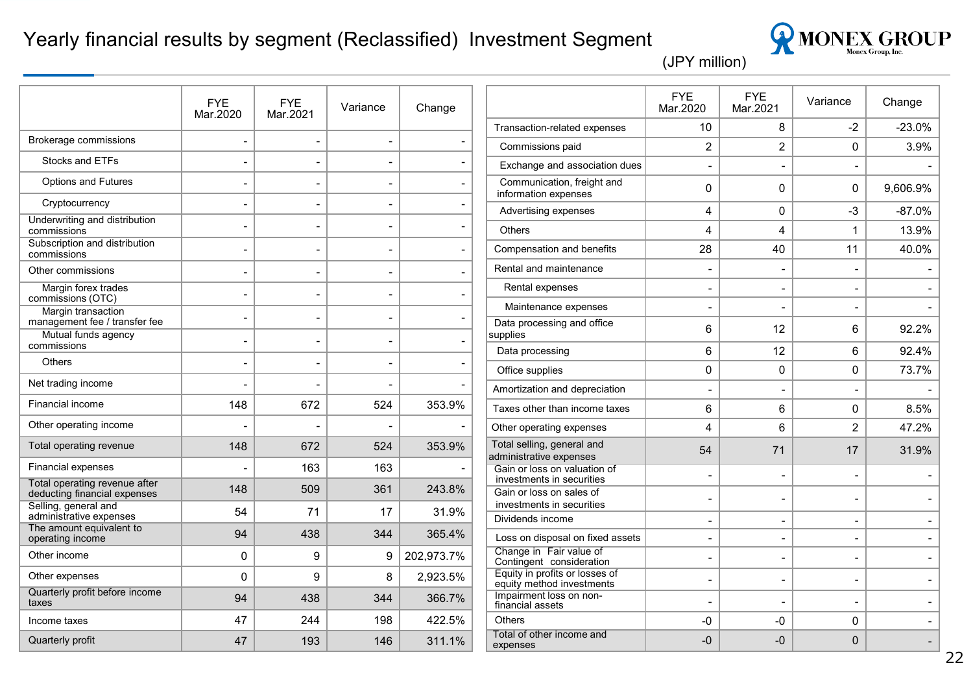#### Yearly financial results by segment (Reclassified) Investment Segment



|                                                               | <b>FYE</b><br>Mar.2020   | <b>FYE</b><br>Mar.2021   | Variance                 | Change     |                                                             | <b>FYE</b><br>Mar.2020   | <b>FYE</b><br>Mar.2021   | Variance | Change   |
|---------------------------------------------------------------|--------------------------|--------------------------|--------------------------|------------|-------------------------------------------------------------|--------------------------|--------------------------|----------|----------|
|                                                               |                          |                          |                          |            | Transaction-related expenses                                | 10                       | 8                        | $-2$     | $-23.0%$ |
| Brokerage commissions                                         | $\overline{\phantom{a}}$ | $\overline{\phantom{a}}$ | $\overline{\phantom{a}}$ |            | Commissions paid                                            | 2                        | $\overline{2}$           | 0        | 3.9%     |
| Stocks and ETFs                                               |                          |                          |                          |            | Exchange and association dues                               |                          |                          |          |          |
| <b>Options and Futures</b>                                    |                          |                          |                          |            | Communication, freight and<br>information expenses          | $\Omega$                 | $\Omega$                 | 0        | 9,606.9% |
| Cryptocurrency                                                |                          |                          |                          |            | Advertising expenses                                        | 4                        | $\mathbf 0$              | -3       | $-87.0%$ |
| Underwriting and distribution<br>commissions                  |                          | $\overline{\phantom{a}}$ | $\overline{a}$           |            | <b>Others</b>                                               | 4                        | 4                        | 1        | 13.9%    |
| Subscription and distribution<br>commissions                  |                          | $\overline{\phantom{a}}$ |                          |            | Compensation and benefits                                   | 28                       | 40                       | 11       | 40.0%    |
| Other commissions                                             |                          |                          |                          |            | Rental and maintenance                                      |                          |                          |          |          |
| Margin forex trades                                           |                          |                          |                          |            | Rental expenses                                             |                          |                          |          |          |
| commissions (OTC)<br>Margin transaction                       |                          |                          |                          |            | Maintenance expenses                                        | $\overline{a}$           |                          |          |          |
| management fee / transfer fee<br>Mutual funds agency          |                          |                          | $\overline{\phantom{0}}$ |            | Data processing and office<br>supplies                      | 6                        | 12                       | 6        | 92.2%    |
| commissions                                                   |                          | $\overline{\phantom{a}}$ |                          |            | Data processing                                             | 6                        | 12                       | 6        | 92.4%    |
| Others                                                        |                          | $\overline{\phantom{a}}$ | $\overline{\phantom{0}}$ |            | Office supplies                                             | 0                        | $\mathbf 0$              | 0        | 73.7%    |
| Net trading income                                            |                          |                          |                          |            | Amortization and depreciation                               | $\overline{\phantom{0}}$ |                          |          |          |
| Financial income                                              | 148                      | 672                      | 524                      | 353.9%     | Taxes other than income taxes                               | 6                        | 6                        | 0        | 8.5%     |
| Other operating income                                        |                          |                          |                          |            | Other operating expenses                                    | 4                        | 6                        | 2        | 47.2%    |
| Total operating revenue                                       | 148                      | 672                      | 524                      | 353.9%     | Total selling, general and<br>administrative expenses       | 54                       | 71                       | 17       | 31.9%    |
| <b>Financial expenses</b>                                     |                          | 163                      | 163                      |            | Gain or loss on valuation of<br>investments in securities   |                          |                          |          |          |
| Total operating revenue after<br>deducting financial expenses | 148                      | 509                      | 361                      | 243.8%     | Gain or loss on sales of                                    |                          |                          |          |          |
| Selling, general and<br>administrative expenses               | 54                       | 71                       | 17                       | 31.9%      | investments in securities<br>Dividends income               | $\blacksquare$           | $\blacksquare$           |          |          |
| The amount equivalent to<br>operating income                  | 94                       | 438                      | 344                      | 365.4%     | Loss on disposal on fixed assets                            |                          |                          |          |          |
| Other income                                                  | 0                        | 9                        | 9                        | 202,973.7% | Change in Fair value of<br>Contingent consideration         |                          | $\overline{a}$           |          |          |
| Other expenses                                                | 0                        | 9                        | 8                        | 2,923.5%   | Equity in profits or losses of<br>equity method investments | $\overline{a}$           | $\overline{\phantom{0}}$ |          |          |
| Quarterly profit before income<br>taxes                       | 94                       | 438                      | 344                      | 366.7%     | Impairment loss on non-<br>financial assets                 |                          |                          |          |          |
| Income taxes                                                  | 47                       | 244                      | 198                      | 422.5%     | <b>Others</b>                                               | -0                       | -0                       | 0        |          |
| Quarterly profit                                              | 47                       | 193                      | 146                      | 311.1%     | Total of other income and<br>expenses                       | -0                       | $-0$                     | $\Omega$ |          |